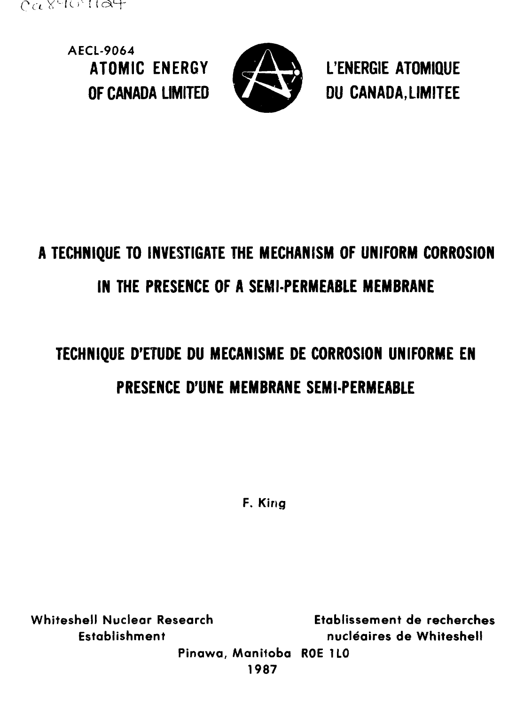

**AECL-9064**



ATOMIC ENERGY **24 AVAVAL L'ENERGIE ATOMIQUE** OF CANADA LIMITED **CANADA, LIMITEE** 

# **A TECHNIQUE TO INVESTIGATE THE MECHANISM OF UNIFORM CORROSION IN THE PRESENCE OF A SEMI-PERMEABLE MEMBRANE**

# **TECHNIQUE D'ETUDE DU MECANISME DE CORROSION UNIFORME EN PRESENCE D'UNE MEMBRANE SEMI-PERMEABLE**

**F. King**

**Whiteshell Nuclear Research Etablissemenf de recherches Establishment nucleaires de Whiteshell Pinawa, Manitoba ROE 1LO**

**1987**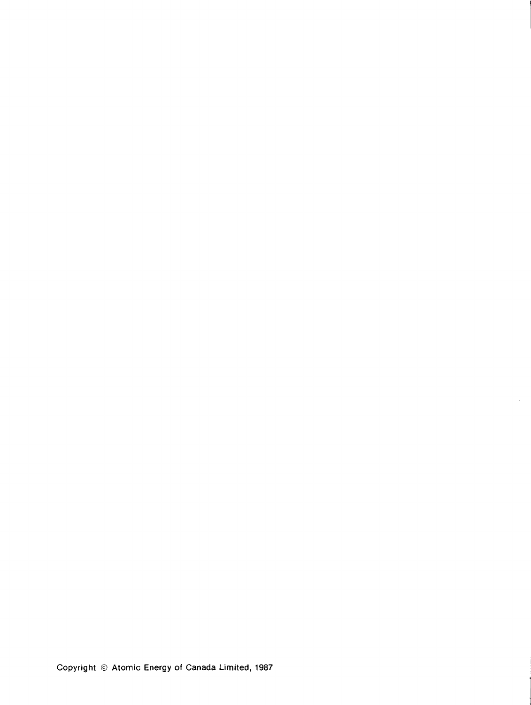Copyright © Atomic Energy of Canada Limited, 1987

Ŷ.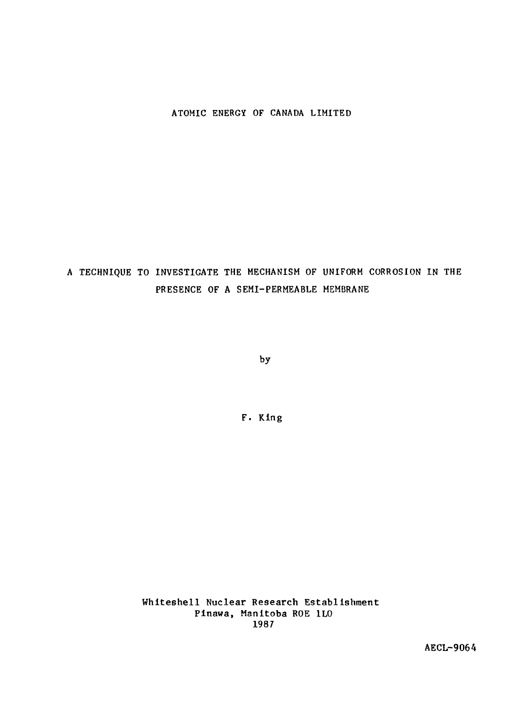### **ATOMIC ENERGY OF CANADA LIMITED**

# **A TECHNIQUE TO INVESTIGATE THE MECHANISM OF UNIFORM CORROSION IN THE PRESENCE OF A SEMI-PERMEABLE MEMBRANE**

**by**

**F. Kin g**

Whiteshell Nuclear Research Establishment Pinawa, Manitoba ROE 1LO 1987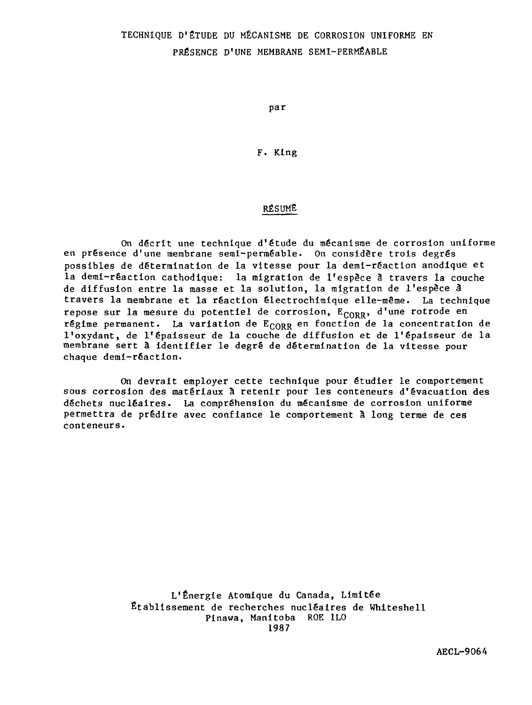### TECHNIQUE D'ÉTUDE DU MÉCANISME DE CORROSION UNIFORME EN PRÉSENCE D'UNE MEMBRANE SEMI-PERMÉABLE

par

F. King

### RÉSUME

On décrit une technique d'étude du mécanisme de corrosion uniforme en présence d'une membrane semi-perméable. On considère trois degrés possibles de détermination de la vitesse pour la demi-réaction anodique et la demi-rêaction cathodique: la migration de l'espèce à travers la couche de diffusion entre la masse et la solution, la migration de l'espèce 3 travers la membrane et la réaction êlectrochiraique elle-même. La technique repose sur la mesure du potentiel de corrosion, E<sub>CORR</sub>, d'une rotrode en régime permanent. La variation de  $E_{CORR}$  en fonction de la concentration de l'oxydant, de l'épaisseur de la couche de diffusion et de l'épaisseur de la membrane sert à identifier le degré de détermination de la vitesse pour chaque demi-réaction.

On devrait employer cette technique pour étudier le comportement sous corrosion des matériaux à retenir pour les conteneurs d'évacuation des déchets nucléaires. La compréhension du mécanisme de corrosion uniforme permettra de prédire avec confiance le comportement à long terme de ces conteneurs.

> L'Énergie Atomique du Canada, Limitée Établissement de recherches nucléaires de Whlteshell Plnawa, Manitoba ROE 1L0 1987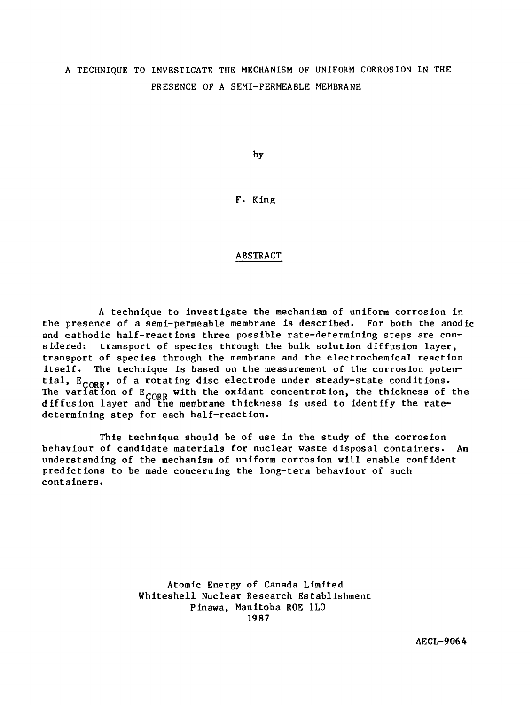### A TECHNIQUE TO INVESTIGATE THE MECHANISM OF UNIFORM CORROSION IN THE PRESENCE OF A SEMI-PERMEABLE MEMBRANE

by

### F. King

### ABSTRACT

A technique to investigate the mechanism of uniform corrosion in the presence of a semi-permeable membrane is described. For both the anodic and cathodic half-reactions three possible rate-determining steps are considered: transport of species through the bulk solution diffusion layer, transport of species through the membrane and the electrochemical reaction itself. The technique is based on the measurement of the corrosion potential,  $E_{CORR}$ , of a rotating disc electrode under steady-state conditions. The variation of  $E_{\text{comp}}$  with the oxidant concentration, the thickness of the diffusion layer and the membrane thickness is used to identify the ratedetermining step for each half-reaction.

This technique should be of use in the study of the corrosion behaviour of candidate materials for nuclear waste disposal containers. An understanding of the mechanism of uniform corrosion will enable confident predictions to be made concerning the long-term behaviour of such containers.

> Atomic Energy of Canada Limited Whiteshell Nuclear Research Establishment Pinawa, Manitoba ROE 1L0 1987

> > AECL-9064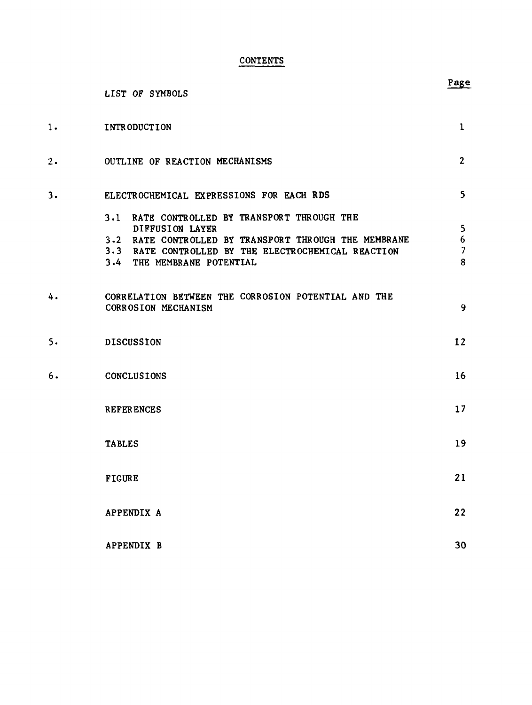### **CONTENTS**

|    | LIST OF SYMBOLS                                                                                                                                                                                               | Page                                         |
|----|---------------------------------------------------------------------------------------------------------------------------------------------------------------------------------------------------------------|----------------------------------------------|
| 1. | INTRODUCTION                                                                                                                                                                                                  | $\mathbf{1}$                                 |
| 2. | OUTLINE OF REACTION MECHANISMS                                                                                                                                                                                | $\overline{2}$                               |
| 3. | ELECTROCHEMICAL EXPRESSIONS FOR EACH RDS                                                                                                                                                                      | $\mathsf{S}$                                 |
|    | 3.1 RATE CONTROLLED BY TRANSPORT THROUGH THE<br>DIFFUSION LAYER<br>3.2 RATE CONTROLLED BY TRANSPORT THROUGH THE MEMBRANE<br>3.3 RATE CONTROLLED BY THE ELECTROCHEMICAL REACTION<br>3.4 THE MEMBRANE POTENTIAL | 5.<br>$6\phantom{.}6$<br>$\overline{7}$<br>8 |
| 4. | CORRELATION BETWEEN THE CORROSION POTENTIAL AND THE<br>CORROSION MECHANISM                                                                                                                                    | 9                                            |
| 5. | <b>DISCUSSION</b>                                                                                                                                                                                             | 12                                           |
| 6. | CONCLUSIONS                                                                                                                                                                                                   | 16                                           |
|    | <b>REFERENCES</b>                                                                                                                                                                                             | 17                                           |
|    | <b>TABLES</b>                                                                                                                                                                                                 | 19                                           |
|    | <b>FIGURE</b>                                                                                                                                                                                                 | 21                                           |
|    | APPENDIX A                                                                                                                                                                                                    | 22                                           |
|    | APPENDIX B                                                                                                                                                                                                    | 30                                           |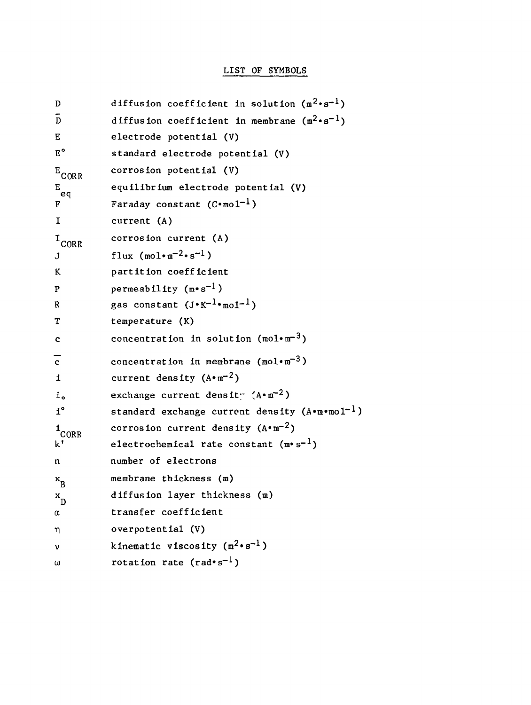### LIST OF SYMBOLS

| D                        | diffusion coefficient in solution $(m^2 \cdot s^{-1})$           |
|--------------------------|------------------------------------------------------------------|
| $\mathbf{D}$             | diffusion coefficient in membrane $(m^2 \cdot s^{-1})$           |
| Е                        | electrode potential (V)                                          |
| $E^{\circ}$              | standard electrode potential (V)                                 |
| $E_{CORR}$               | corrosion potential (V)                                          |
| $\mathbf{g}_{\text{eq}}$ | equilibrium electrode potential (V)                              |
| F                        | Faraday constant $(C \cdot \text{mol}^{-1})$                     |
| I                        | current (A)                                                      |
| $I_{CORR}$               | corrosion current (A)                                            |
| J                        | flux $(\text{mol}\cdot\text{m}^{-2}\cdot\text{s}^{-1})$          |
| K                        | partition coefficient                                            |
| P                        | permeability $(m \cdot s^{-1})$                                  |
| R                        | gas constant $(J \cdot K^{-1} \cdot \text{mol}^{-1})$            |
| т                        | temperature (K)                                                  |
| c                        | concentration in solution $(mol·m-3)$                            |
| $\mathbf{c}$             | concentration in membrane ( $mol·m-3$ )                          |
| i                        | current density $(A \cdot m^{-2})$                               |
| 1 <sub>o</sub>           | exchange current density (A.m <sup>-2</sup> )                    |
| $i^{\circ}$              | standard exchange current density ( $A \cdot m \cdot m01^{-1}$ ) |
| $1$ CORR                 | corrosion current density $(A \cdot m^{-2})$                     |
| k'                       | electrochemical rate constant $(m^*s^{-1})$                      |
| n                        | number of electrons                                              |
| $x_R$                    | membrane thickness (m)                                           |
| $\mathbf{x}_{\text{D}}$  | diffusion layer thickness (m)                                    |
| α                        | transfer coefficient                                             |
| η                        | overpotential (V)                                                |
| ν                        | kinematic viscosity $(m^2 \cdot s^{-1})$                         |
| ω                        | rotation rate $(rad \cdot s^{-1})$                               |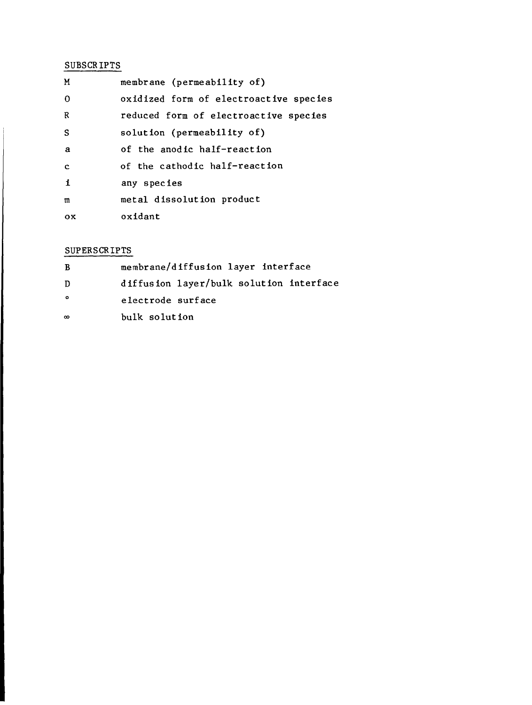### SUBSCRIPTS

| M              | membrane (permeability of)             |
|----------------|----------------------------------------|
| $\mathbf 0$    | oxidized form of electroactive species |
| R              | reduced form of electroactive species  |
| S              | solution (permeability of)             |
| a              | of the anodic half-reaction            |
| $\mathbf c$    | of the cathodic half-reaction          |
| $\mathbf{1}$   | any species                            |
| $\mathfrak{m}$ | metal dissolution product              |
| oх             | oxidant                                |

### SUPERSCRIPTS

| B         | membrane/diffusion layer interface      |
|-----------|-----------------------------------------|
| D         | diffusion layer/bulk solution interface |
| $\bullet$ | electrode surface                       |
| $\infty$  | bulk solution                           |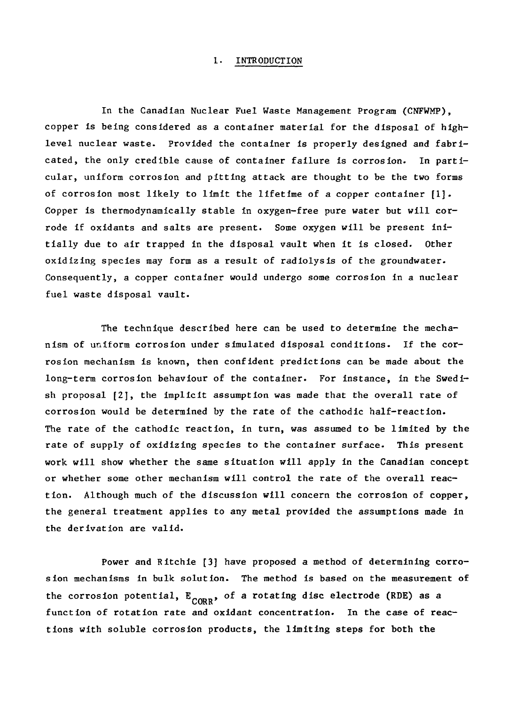### 1. INTRODUCTION

In the Canadian Nuclear Fuel Waste Management Program (CNFWMP), copper Is being considered as a container material for the disposal of highlevel nuclear waste. Provided the container is properly designed and fabricated, the only credible cause of container failure is corrosion. In particular, uniform corrosion and pitting attack are thought to be the two forms of corrosion most likely to limit the lifetime of a copper container  $[1]$ . Copper is therraodynamically stable in oxygen-free pure water but will corrode if oxidants and salts are present. Some oxygen will be present initially due to air trapped in the disposal vault when it is closed. Other oxidizing species may form as a result of radiolysis of the groundwater. Consequently, a copper container would undergo some corrosion in a nuclear fuel waste disposal vault.

The technique described here can be used to determine the mechanism of uniform corrosion under simulated disposal conditions. If the corrosion mechanism is known, then confident predictions can be made about the long-term corrosion behaviour of the container. For instance, in the Swedish proposal [2], the implicit assumption was made that the overall rate of corrosion would be determined by the rate of the cathodic half-reaction. The rate of the cathodic reaction, in turn, was assumed to be limited by the rate of supply of oxidizing species to the container surface. This present work will show whether the same situation will apply in the Canadian concept or whether some other mechanism will control the rate of the overall reaction. Although much of the discussion will concern the corrosion of copper, the general treatment applies to any metal provided the assumptions made in the derivation are valid.

Power and Ritchie [3] have proposed a method of determining corrosion mechanisms in bulk solution. The method is based on the measurement of the corrosion potential,  $E_{CORR}$ , of a rotating disc electrode (RDE) as a function of rotation rate and oxidant concentration. In the case of reactions with soluble corrosion products, the limiting steps for both the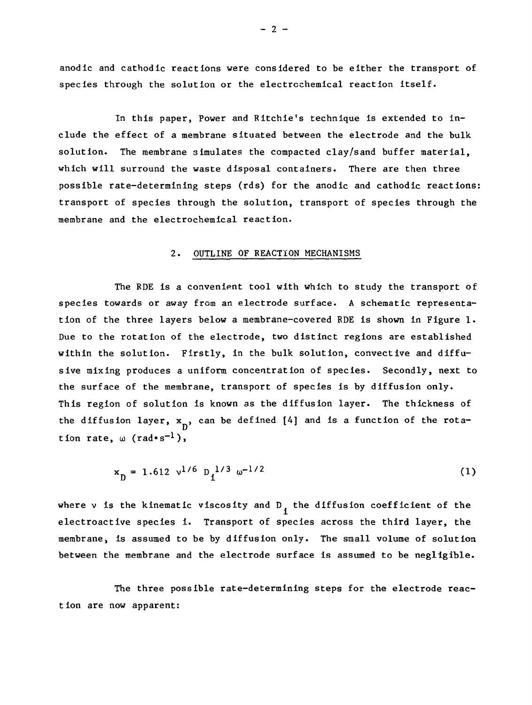anodic and cathodic reactions were considered to be either the transport of species through the solution or the electrochemical reaction itself.

In this paper, Power and Ritchie's technique is extended to include the effect of a membrane situated between the electrode and the bulk solution. The membrane simulates the compacted clay/sand buffer material, which will surround the waste disposal containers. There are then three possible rate-determining steps (rds) for the anodic and cathodic reactions: transport of species through the solution, transport of species through the membrane and the electrochemical reaction.

### 2. OUTLINE OF REACTION MECHANISMS

The RDE is a convenient tool with which to study the transport of species towards or away from an electrode surface. A schematic representation of the three layers below a membrane-covered RDE is shown in Figure 1. Due to the rotation of the electrode, two distinct regions are established within the solution. Firstly, in the bulk solution, convective and diffusive mixing produces a uniform concentration of species. Secondly, next to the surface of the membrane, transport of species is by diffusion only. This region of solution is known as the diffusion layer. The thickness of the diffusion layer,  $x_n$ , can be defined [4] and is a function of the rotation rate,  $\omega$  (rad•s<sup>-1</sup>),

$$
x_{\text{D}} = 1.612 \text{ v}^{1/6} \text{ D}_1^{1/3} \omega^{-1/2} \tag{1}
$$

where  $v$  is the kinematic viscosity and  $D_i$  the diffusion coefficient of the electroactive species i. Transport of species across the third layer, the membrane, is assumed to be by diffusion only. The small volume of solution between the membrane and the electrode surface is assumed to be negligible.

The three possible rate-determining steps for the electrode reaction are now apparent:

 $-2 -$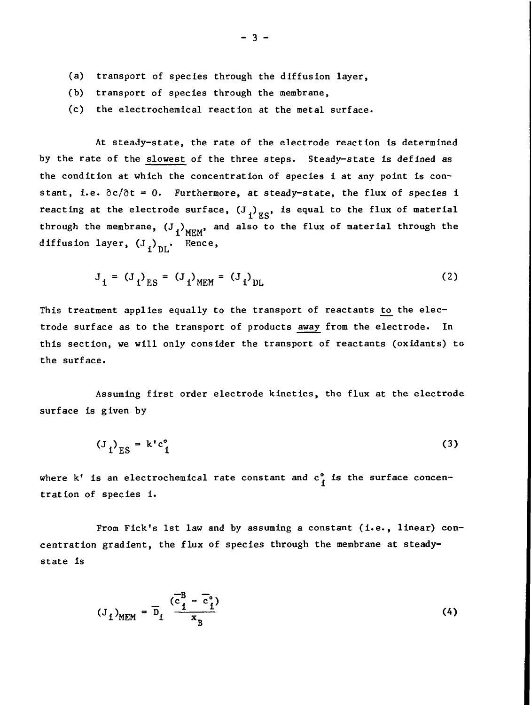- (a) transport of species through the diffusion layer,
- (b) transport of species through the membrane,

 $\overline{1}$   $\overline{D}$ 

(c) the electrochemical reaction at the metal surface.

At steady-state, the rate of the electrode reaction is determined by the rate of the slowest of the three steps. Steady-state is defined as the condition at which the concentration of species i at any point is constant, i.e.  $\partial c/\partial t = 0$ . Furthermore, at steady-state, the flux of species i reacting at the electrode surface,  $(J_f)_{ES}$ , is equal to the flux of material i ES through the membrane,  $\left(\begin{smallmatrix}J&J\&J'&HEM\end{smallmatrix}\right)$  and also to the flux of material through the Henc

$$
J_{1} = (J_{1})_{ES} = (J_{1})_{MEM} = (J_{1})_{DL}
$$
 (2)

This treatment applies equally to the transport of reactants to the electrode surface as to the transport of products away from the electrode. In this section, we will only consider the transport of reactants (oxidants) to the surface.

Assuming first order electrode kinetics, the flux at the electrode surface is given by

$$
\left(\mathbf{J}_i\right)_{\text{ES}} = \mathbf{k}^{\dagger} \mathbf{c}_i^{\circ} \tag{3}
$$

where  $k^t$  is an electrochemical rate constant and  $c^o$  is the surface concen tration of species i.

From Fick's 1st law and by assuming a constant (i.e., linear) concentration gradient, the flux of species through the membrane at steadystate is

$$
(J_i)_{MEM} = \overline{D}_i \frac{(\overline{c}_i^B - \overline{c}_i^o)}{x_B}
$$
 (4)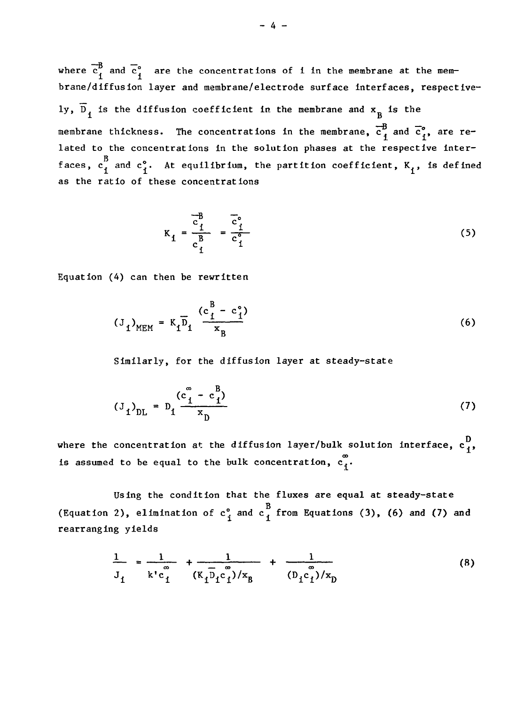where  $\overline{c}_1^B$  and  $\overline{c}_1^{\circ}$  are the concentrations of i in the membrane at the membrane/diffusion layer and membrane/electrode surface Interfaces, respectively,  $\overline{D}_1$  is the diffusion coefficient in the membrane and  $x_R$  is the  $\overline{B}$   $\overline{C}$ membrane thickness. The concentrations in the membrane,  $\mathbf{c}_{\mathbf{1}}$  and  $\mathbf{c}_{\mathbf{1}}^*$ , are related to the concentrations in the solution phases at the respective interim faces, coefficient,  $\mathbf{f}$  and  $\mathbf{f}$  and  $\mathbf{f}$  and  $\mathbf{f}$  and  $\mathbf{f}$  and  $\mathbf{f}$  and  $\mathbf{f}$  and  $\mathbf{f}$  and  $\mathbf{f}$  and  $\mathbf{f}$  and  $\mathbf{f}$  and  $\mathbf{f}$  and  $\mathbf{f}$  and  $\mathbf{f}$  and  $\mathbf{f}$  and  $\mathbf{f$ as the ratio of these concentrations

$$
K_{1} = \frac{\overline{c}_{1}^{B}}{c_{1}^{B}} = \frac{\overline{c}_{1}^{o}}{c_{1}^{o}}
$$
 (5)

Equation (4) can then be rewritten

$$
(3_{1})_{MEM} = K_{1} \overline{D}_{1} \frac{(c_{1}^{B} - c_{1}^{o})}{x_{B}}
$$
 (6)

Similarly, for the diffusion layer at steady-state

$$
(J_1)_{\text{DL}} = D_1 \frac{(c_1^{\infty} - c_1^{\infty})}{x_{\text{D}}}
$$
 (7)

where the concentration at the diffusion layer/bulk solution interface,  $c_1^D$ , is assumed to be equal to the bulk concentration,  $\mathbf{c}_{\mathbf{1}}^{\mathbf{\omega}}.$ 

Using the condition that the fluxes are equal at steady-state (Equation 2), elimination of  $c_1^{\circ}$  and  $c_4^{\circ}$  from Equations (3), (6) and (7) and rearranging yields

$$
\frac{1}{J_{1}} = \frac{1}{k'c_{1}^{\infty}} + \frac{1}{(k_{1}D_{1}c_{1}^{\infty})/x_{B}} + \frac{1}{(D_{1}c_{1}^{\infty})/x_{D}}
$$
(8)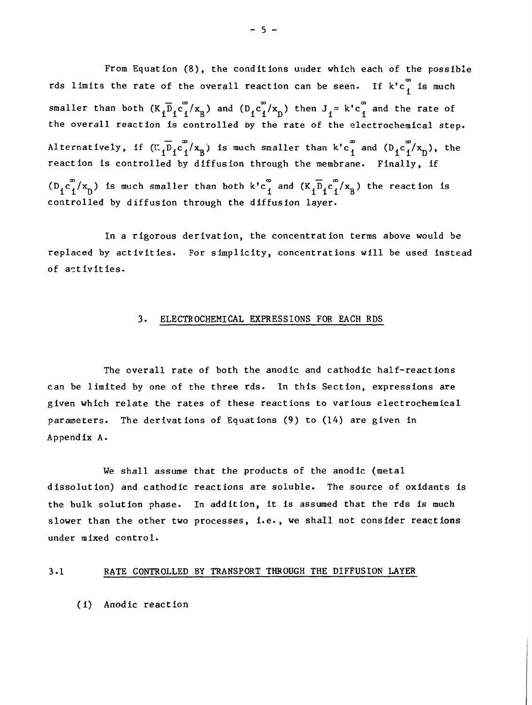From Equation (8), the conditions under which each of the possible rds limits the rate of the overall reaction can be seen. If  $\mathrm{k^{\star}c}_{\mathrm{f}}^{\mathrm{\omega}}$  is much smaller than both  $(K_1\overline{D}_1c_1^{\infty}/x_B)$  and  $(D_1c_1^{\infty}/x_D)$  then  $J_1 \approx k'c_1^{\infty}$  and the rate of  $\begin{array}{ccccc}\n 1 & 1 & 1 & 0 & 1 & 1 \\
1 & 0 & 0 & 1 & 1\n \end{array}$ the overall reaction is controlled by the rate of the electrochemical step. Alternatively, if  $(\mathfrak{C}_1 \overline{\mathfrak{D}}_1 c_1^{\infty}/x_B)$  is much smaller than  $k'c_1^{\infty}$  and  $(\mathfrak{D}_1 c_1^{\infty}/x_D)$ , the reaction Is controlled by diffusion through the membrane. Finally, if CO CO ™"~ OO  $\binom{K}{1}$  ( $\binom{K}{1}$ ) is much smaller than both k'c and (K. $\binom{K}{1}$ ) is  $\binom{K}{1}$ controlled by diffusion through the diffusion layer.

In a rigorous derivation, the concentration terms above would be replaced by activities. For simplicity, concentrations will be used instead of activities.

### 3. ELECTROCHEMICAL EXPRESSIONS FOR EACH RDS

The overall rate of both the anodic and cathodic half-react ions can be limited by one of the three rds. In this Section, expressions are given which relate the rates of these reactions to various electrochemical parameters. The derivations of Equations (9) to (14) are given in Appendix A.

We shall assume that the products of the anodic (metal dissolution) and cathodic reactions are soluble. The source of oxidants Is the bulk solution phase. In addition, it is assumed that the rds is much slower than the other two processes, I.e., we shall not consider reactions under mixed control.

### 3-1 RATE CONTROLLED BY TRANSPORT THROUGH THE DIFFUSION LAYER

(i) Anodic reaction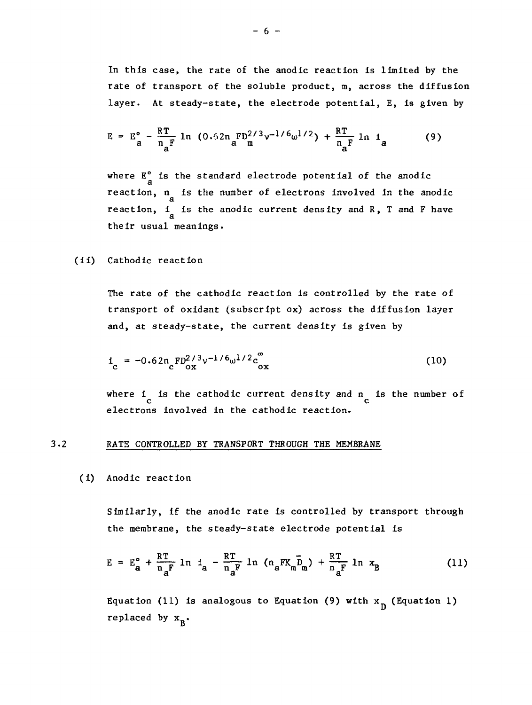In this case, the rate of the anodic reaction is limited by the rate of transport of the soluble product, m, across the diffusion layer. At steady-state, the electrode potential, E, is given by

$$
E = E_a^{\circ} - \frac{RT}{n_aF} \ln (0.52n_aFD^{2/3}v^{-1/6}\omega^{1/2}) + \frac{RT}{n_aF} \ln i_a
$$
 (9)

where  $E^{\circ}_{a}$  is the standard electrode potential of the anodic reaction, n<sub>a</sub> is the number of electrons involved in the anodic reaction,  $i_a$  is the anodic current density and R, T and F have

(ii) Cathodic reaction

The rate of the cathodic reaction is controlled by the rate of transport of oxidant (subscript ox) across the diffusion layer and, at steady-state, the current density is given by

$$
i_{\rm c} = -0.62 n_{\rm c} F D_{\rm ox}^{2/3} v^{-1/6} \omega^{1/2} c_{\rm ox}^{\infty}
$$
 (10)

where  $\frac{1}{c}$  is the cathodic current density and  $n_{\overline{c}}$  is the number of electrons involved in the cathodic reaction.

### 3.2 RATE CONTROLLED BY TRANSPORT THROUGH THE MEMBSANE

(i) Anodic reaction

Similarly, if the anodic rate is controlled by transport through the membrane, the steady-state electrode potential is

$$
E = E_{a}^{o} + \frac{RT}{n_{a}F} \ln t_{a} - \frac{RT}{n_{a}F} \ln (n_{a}FK_{m}\bar{D}_{m}) + \frac{RT}{n_{a}F} \ln x_{B}
$$
 (11)

Equation (11) is analogous to Equation (9) with  $x_{n}$  (Equation 1) replaced by  $x_R$ .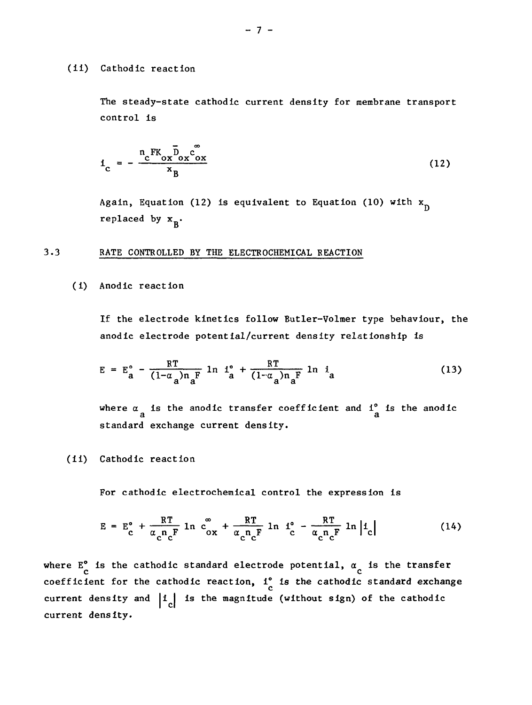#### (ii) Cathodic reaction

The steady-state cathodic current density for membrane transport control is

$$
i_{\rm c} = -\frac{n_{\rm c} \, \text{FK}_{\rm ox} \bar{D}_{\rm ox} \ddot{C}_{\rm ox}^{\rm F}}{x_{\rm B}}
$$
 (12)

Again, Equation (12) is equivalent to Equation (10) with  $x_n$ replaced by  $x_R$ .

### 3.3 RATE CONTROLLED BY THE ELECTROCHEMICAL REACTION

(i) Anodic reaction

If the electrode kinetics follow Butler-Volmer type behaviour, the anodic electrode potential/current density relationship is

$$
E = E_a^{\circ} - \frac{RT}{(1-\alpha_a)n_a^F} \ln \frac{1^{\circ}}{a} + \frac{RT}{(1-\alpha_a)n_a^F} \ln i_a
$$
 (13)

where  $\alpha_{a}$  is the anodic transfer coefficient and  $1_{a}^{\circ}$  is the anodic

(11) Cathodic reaction

For cathodic electrochemical control the expression is

$$
E = E_c^{\circ} + \frac{RT}{\alpha_c n_c F} \ln c_{ox}^{\circ} + \frac{RT}{\alpha_c n_c F} \ln l_c^{\circ} - \frac{RT}{\alpha_c n_c F} \ln |l_c|
$$
 (14)

 $\epsilon$  represented to the function  $\epsilon$  of  $\epsilon$ where  $E_c$  is the cathodic standard electrode potential,  $\alpha_c$  is the transfer<br>coefficient for the cathodic reaction, i is the cathodic standard exchang coefficient density and  $\begin{bmatrix} 1 & 1 \end{bmatrix}$  is the magnitude (without sign) of the cathodic current density.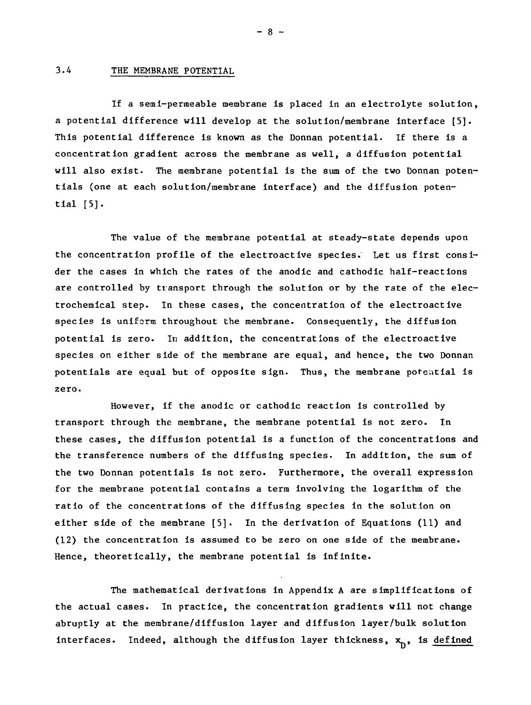### 3.4 THE MEMBRANE POTENTIAL

If a semi-permeable membrane is placed in an electrolyte solution, a potential difference will develop at the solution/membrane interface [5]. This potential difference is known as the Donnan potential. If there is a concentration gradient across the membrane as well, a diffusion potential will also exist. The membrane potential is the sum of the two Donnan potentials (one at each solution/membrane interface) and the diffusion potential  $[5]$ .

The value of the membrane potential at steady-state depends upon the concentration profile of the electroactive species. Let us first consider the cases in which the rates of the anodic and cathodic half-reactions are controlled by transport through the solution or by the rate of the electrochemical step. In these cases, the concentration of the electroactive species is uniform throughout the membrane. Consequently, the diffusion potential is zero. In addition, the concentrations of the electroactive species on either side of the membrane are equal, and hence, the two Donnan potentials are equal but of opposite sign. Thus, the membrane potential is zero.

However, if the anodic or cathodic reaction is controlled by transport through the membrane, the membrane potential is not zero. In these cases, the diffusion potential is a function of the concentrations and the transference numbers of the diffusing species. In addition, the sum of the two Donnan potentials is not zero. Furthermore, the overall expression for the membrane potential contains a term involving the logarithm of the ratio of the concentrations of the diffusing species in the solution on either side of the membrane [5]. In the derivation of Equations (11) and (12) the concentration is assumed to be zero on one side of the membrane. Hence, theoretically, the membrane potential is infinite.

The mathematical derivations in Appendix A are simplifications of the actual cases. In practice, the concentration gradients will not change abruptly at the membrane/diffusion layer and diffusion layer/bulk solution interfaces. Indeed, although the diffusion layer thickness,  $x_n$ , is defined

 $- 8 -$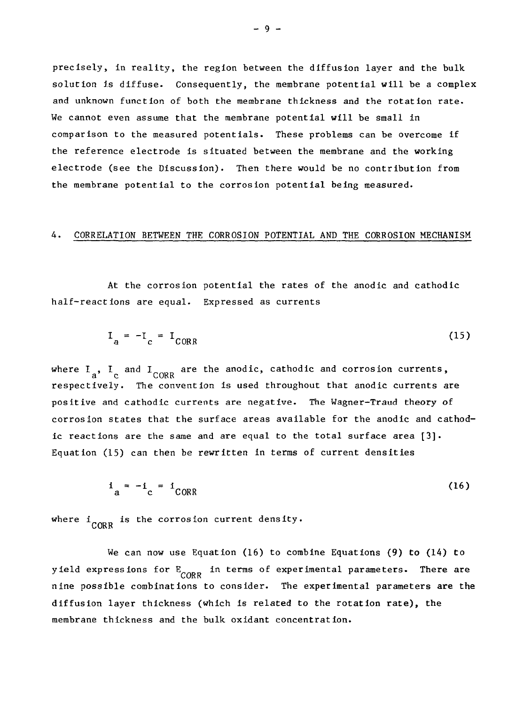precisely, in reality, the region between the diffusion layer and the bulk solution is diffuse. Consequently, the membrane potential will be a complex and unknown function of both the membrane thickness and the rotation rate. We cannot even assume that the membrane potential will be small in comparison to the measured potentials. These problems can be overcome if the reference electrode is situated between the membrane and the working electrode (see the Discussion). Then there would be no contribution from the membrane potential to the corrosion potential being measured.

### A. CORRELATION BETWEEN THE CORROSION POTENTIAL AND THE CORROSION MECHANISM

At the corrosion potential the rates of the anodic and cathodic half-reactions are equal. Expressed as currents

$$
I_a = -I_c = I_{CORR} \tag{15}
$$

where  $I_a$ ,  $I_c$  and  $I_{CORR}$  are the anodic, cathodic and corrosion currents, respectively. The convention is used throughout that anodic currents are positive and cathodic currents are negative. The Wagner-Traud theory of corrosion states that the surface areas available for the anodic and cathodic reactions are the same and are equal to the total surface area [3]. Equation (15) can then be rewritten in terms of current densities

$$
i_a = -i_c = i_{CORR} \tag{16}
$$

where  $i$   $_{CORR}$  is the corrosion current density.

We can now use Equation (16) to combine Equations (9) to (14) to yield expressions for  $E_{CORR}$  in terms of experimental parameters. There are nine possible combinations to consider. The experimental parameters are the diffusion layer thickness (which is related to the rotation rate), the membrane thickness and the bulk oxidant concentration.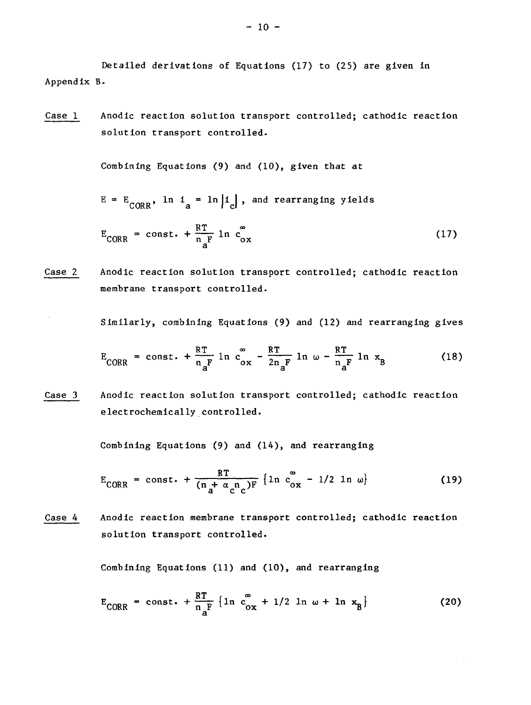Detailed derivations of Equations (17) to (25) are given in Appendix B.

Case 1 Anodic reaction solution transport controlled; cathodic reaction solution transport controlled.

Combining Equations (9) and (10), given that at

 $E = E_{CORR}$ , ln  $i_a = \ln |i_c|$ , and rearranging yields

$$
E_{CORR} = const. + \frac{RT}{n_A F} \ln c_{ox}^{\infty}
$$
 (17)

Case 2 Anodic reaction solution transport controlled; cathodic reaction membrane transport controlled.

Similarly, combining Equations (9) and (12) and rearranging gives

$$
E_{CORR} = const. + \frac{RT}{n_aF} \ln c_{ox}^{\infty} - \frac{RT}{2n_aF} \ln \omega - \frac{RT}{n_aF} \ln x_B
$$
 (18)

Case 3 Anodic reaction solution transport controlled; cathodic reaction electrochemically controlled.

Combining Equations (9) and (14), and rearranging

$$
E_{CORR} = const. + \frac{RT}{(n + \alpha_c n_c)F} \left\{ ln \frac{c_{ox}^2}{c_{ox}} - \frac{1}{2} ln \omega \right\}
$$
 (19)

Case 4 Anodic reaction membrane transport controlled; cathodic reaction solution transport controlled.

Combining Equations (11) and (10), and rearranging

$$
E_{CORR} = const. + \frac{RT}{n_{a}F} \{ ln c_{ox}^{\infty} + 1/2 ln \omega + ln x_{B} \}
$$
 (20)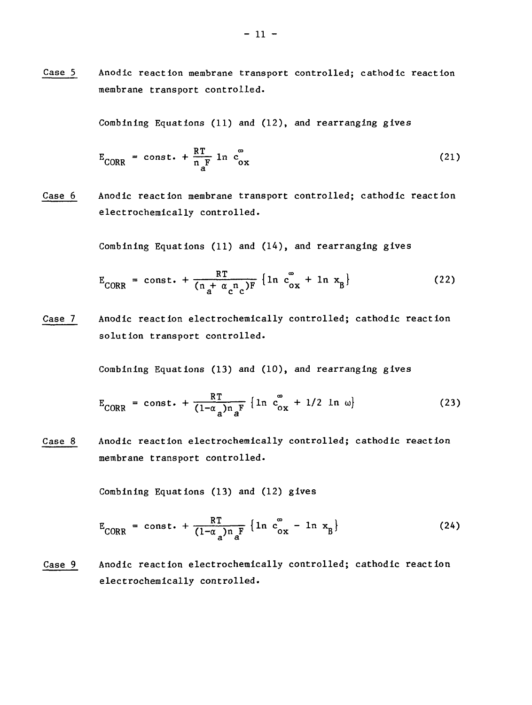Case 5 Anodic reaction membrane transport controlled; cathodic reaction membrane transport controlled.

Combining Equations (11) and (12), and rearranging gives

$$
E_{CORR} = const. + \frac{RT}{n_{\text{a}}} \ln c_{ox}^{\circ}
$$
 (21)

Case 6 Anodic reaction membrane transport controlled; cathodic reaction electrochemically controlled.

Combining Equations (11) and (14), and rearranging gives

$$
E_{CORR} = const. + \frac{RT}{(n_a + \alpha_c n_c)F} \{ln c_{ox}^{\infty} + ln x_B\}
$$
 (22)

Case 7 Anodic reaction electrochemically controlled; cathodic reaction solution transport controlled.

Combining Equations (13) and (10), and rearranging gives

$$
E_{CORR} = const. + \frac{RT}{(1-\alpha_a)n_aF} \left\{ ln \ c_{ox}^{\circ} + 1/2 \ ln \ \omega \right\}
$$
 (23)

Case 8 Anodic reaction electrochemically controlled; cathodic reaction membrane transport controlled.

Combining Equations (13) and (12) gives

$$
E_{CORR} = const. + \frac{RT}{(1-\alpha_a)n_aF} \{ln c_{ox}^{\circ} - ln x_B\}
$$
 (24)

Case 9 Anodic reaction electrochemically controlled; cathodic reaction electrochemically controlled.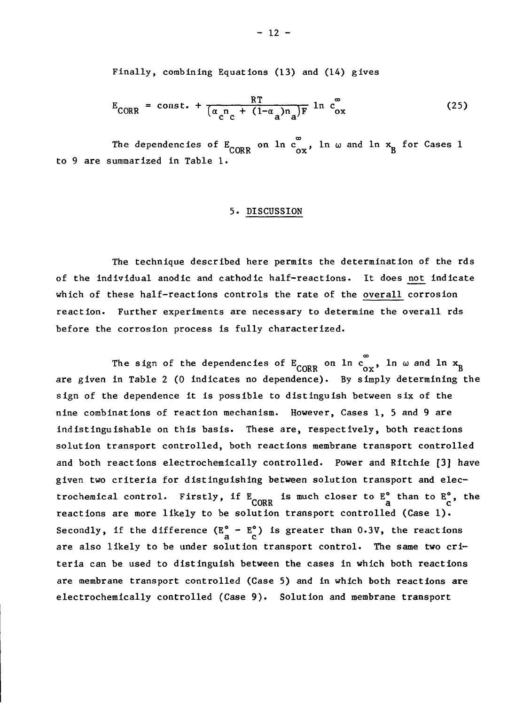Finally, combining Equations (13) and (14) gives

$$
E_{CORR} = const. + \frac{RT}{(\alpha_c^n c + (1-\alpha_a)n_a)F} \ln c_{ox}^{\infty}
$$
 (25)

The dependencies of  $E_{CORR}$  on  $ln c_{ox}^{\infty}$ ,  $ln \omega$  and  $ln x_{B}$  for Cases 1 to 9 are summarized in Table 1.

### 5. DISCUSSION

The technique described here permits the determination of the rds of the individual anodic and cathodic half-reactions. It does not indicate which of these half-reactions controls the rate of the overall corrosion reaction. Further experiments are necessary to determine the overall rds before the corrosion process is fully characterized.

The sign of the dependencies of  $E_{CORR}$  on  $\ln c_{ox}^{\infty}$ ,  $\ln \omega$  and  $\ln x_B$ are given in Table 2 (0 indicates no dependence). By simply determining the sign of the dependence it is possible to distinguish between six of the nine combinations of reaction mechanism. However, Cases 1, 5 and 9 are indistinguishable on this basis. These are, respectively, both reactions solution transport controlled, both reactions membrane transport controlled and both reactions electrochemically controlled. Power and Ritchie [3] have given two criteria for distinguishing between solution transport and electrochemical control. Firstly, if  $E_{CORR}$  is much closer to  $E_{\alpha}^{\circ}$  than to  $E_{\alpha}^{\circ}$ , the correlation transport controlled (Case 1) reactions are more likely to be solution transport controlled (Case 1). Secondly, if the difference  $(E_{a}^{\circ} - E_{c}^{\circ})$  is greater than 0.3V, the reactions are also likely to be under solution transport control. The same two criteria can be used to distinguish between the cases in which both reactions are membrane transport controlled (Case 5) and in which both reactions are electrochemically controlled (Case 9). Solution and membrane transport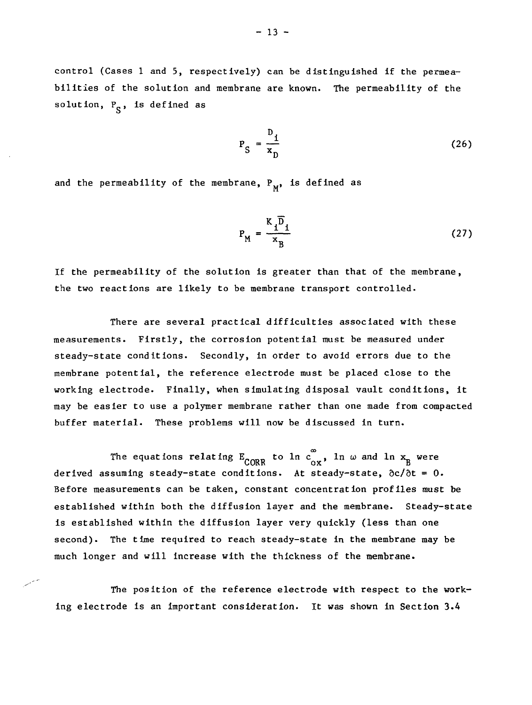control (Cases 1 and 5, respectively) can be distinguished if the permeabilities of the solution and membrane are known. The permeability of the solution,  $P_S$ , is defined as

$$
P_S = \frac{D_1}{x_D} \tag{26}
$$

and the permeability of the membrane,  $P_M$ , is defined as

$$
P_{M} = \frac{K_{1} \overline{D}_{1}}{x_{B}}
$$
 (27)

If the permeability of the solution is greater than that of the membrane, the two reactions are likely to be membrane transport controlled.

 $\ddot{\phantom{0}}$ 

There are several practical difficulties associated with these measurements. Firstly, the corrosion potential must be measured under steady-state conditions. Secondly, in order to avoid errors due to the membrane potential, the reference electrode must be placed close to the working electrode. Finally, when simulating disposal vault conditions, it may be easier to use a polymer membrane rather than one made from compacted buffer material. These problems will now be discussed in turn.

The equations relating  $E_{\rm CORR}^{\quad \ \ \, \infty}$  to ln  $c_{\rm ox}^{\infty}$ , ln  $\omega$  and ln  $x^{-}_{\rm R}$  were derived assuming steady-state conditions. At steady-state,  $\partial c/\partial t = 0$ . Before measurements can be taken, constant concentration profiles must be established within both the diffusion layer and the membrane. Steady-state is established within the diffusion layer very quickly (less than one second). The time required to reach steady-state in the membrane may be much longer and will increase with the thickness of the membrane.

The position of the reference electrode with respect to the working electrode is an important consideration. It was shown in Section 3.4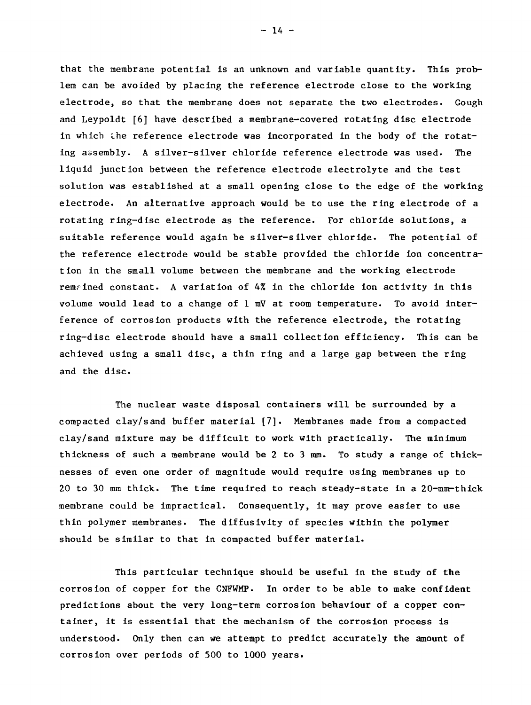that the membrane potential is an unknown and variable quantity. This problem can be avoided by placing the reference electrode close to the working electrode, so that the membrane does not separate the two electrodes. Gough and Leypoldt [6] have described a membrane-covered rotating disc electrode in which the reference electrode was incorporated in the body of the rotating assembly. A silver-silver chloride reference electrode was used. The liquid junction between the reference electrode electrolyte and the test solution was established at a small opening close to the edge of the working electrode. An alternative approach would be to use the ring electrode of a rotating ring-disc electrode as the reference. For chloride solutions, a suitable reference would again be silver-silver chloride. The potential of the reference electrode would be stable provided the chloride ion concentration in the small volume between the membrane and the working electrode remained constant. A variation of  $4\%$  in the chloride ion activity in this volume would lead to a change of 1 mV at room temperature. To avoid interference of corrosion products with the reference electrode, the rotating ring-disc electrode should have a small collection efficiency. This can be achieved using a small disc, a thin ring and a large gap between the ring and the disc.

The nuclear waste disposal containers will be surrounded by a compacted clay/sand buffer material [7]. Membranes made from a compacted clay/sand mixture may be difficult to work with practically. The minimum thickness of such a membrane would be 2 to 3 mm. To study a range of thicknesses of even one order of magnitude would require using membranes up to 20 to 30 mm thick. The time required to reach steady-state in a 20-mm-thick membrane could be impractical. Consequently, it may prove easier to use thin polymer membranes. The diffusivity of species within the polymer should be similar to that in compacted buffer material.

This particular technique should be useful in the study of the corrosion of copper for the CNFWMP. In order to be able to make confident predictions about the very long-term corrosion behaviour of a copper container, it is essential that the mechanism of the corrosion process is understood. Only then can we attempt to predict accurately the amount of corrosion over periods of 500 to 1000 years.

 $-14 -$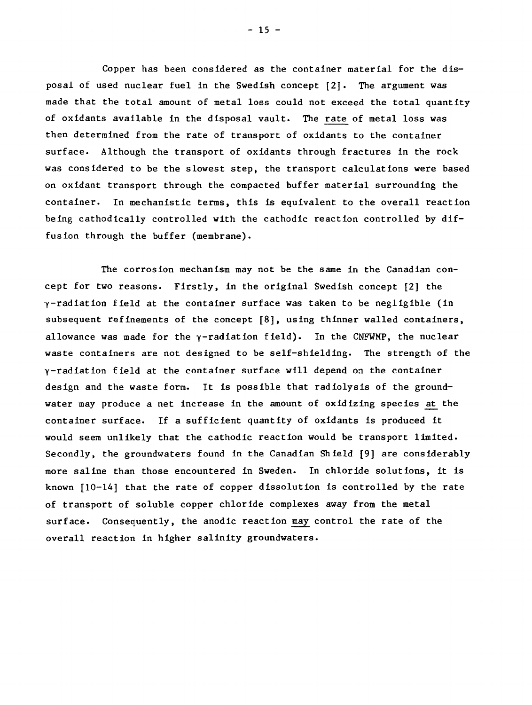Copper has been considered as the container material for the disposal of used nuclear fuel in the Swedish concept [2]. The argument was made that the total amount of metal loss could not exceed the total quantity of oxidants available in the disposal vault. The rate of metal loss was then determined from the rate of transport of oxidants to the container surface. Although the transport of oxidants through fractures in the rock was considered to be the slowest step, the transport calculations were based on oxidant transport through the compacted buffer material surrounding the container. In mechanistic terms, this is equivalent to the overall reaction being cathodically controlled with the cathodic reaction controlled by diffusion through the buffer (membrane).

The corrosion mechanism may not be the same in the Canadian concept for two reasons. Firstly, in the original Swedish concept [2] the y-radiation field at the container surface was taken to be negligible (in subsequent refinements of the concept [8], using thinner walled containers, allowance was made for the  $\gamma$ -radiation field). In the CNFWMP, the nuclear waste containers are not designed to be self-shielding. The strength of the Y-radiation field at the container surface will depend on the container design and the waste form. It is possible that radiolysis of the groundwater may produce a net increase in the amount of oxidizing species at the container surface. If a sufficient quantity of oxidants is produced it would seem unlikely that the cathodic reaction would be transport limited. Secondly, the groundwaters found in the Canadian Shield [9] are considerably more saline than those encountered in Sweden. In chloride solutions, it is known [10-14] that the rate of copper dissolution is controlled by the rate of transport of soluble copper chloride complexes away from the metal surface. Consequently, the anodic reaction may control the rate of the overall reaction in higher salinity groundwaters.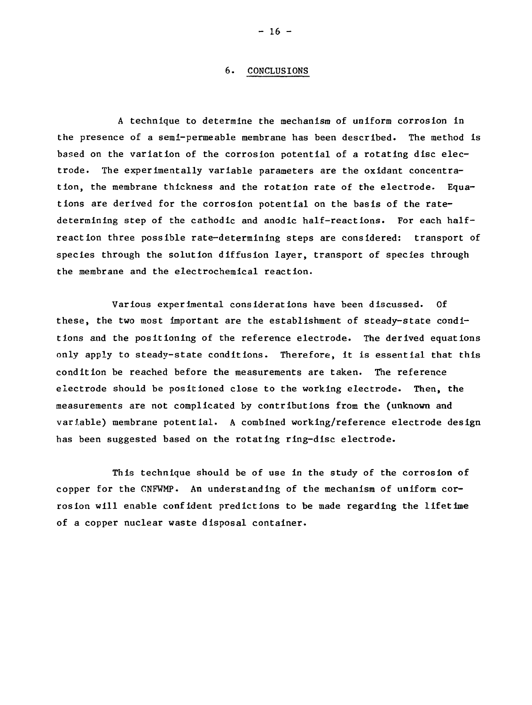#### 6. CONCLUSIONS

A technique to determine the mechanism of uniform corrosion in the presence of a semi-permeable membrane has been described. The method is based on the variation of the corrosion potential of a rotating disc electrode. The experimentally variable parameters are the oxidant concentration, the membrane thickness and the rotation rate of the electrode. Equations are derived for the corrosion potential on the basis of the ratedetermining step of the cathodic and anodic half-reactions. For each halfreaction three possible rate-determining steps are considered: transport of species through the solution diffusion layer, transport of species through the membrane and the electrochemical reaction.

Various experimental considerations have been discussed. Of these, the two most important are the establishment of steady-state conditions and the positioning of the reference electrode. The derived equations only apply to steady-state conditions. Therefore, it is essential that this condition be reached before the measurements are taken. The reference electrode should be positioned close to the working electrode. Then, the measurements are not complicated by contributions from the (unknown and variable) membrane potential. A combined working/reference electrode design has been suggested based on the rotating ring-disc electrode.

This technique should be of use in the study of the corrosion of copper for the CNFWMP. An understanding of the mechanism of uniform corrosion will enable confident predictions to be made regarding the lifetime of a copper nuclear waste disposal container.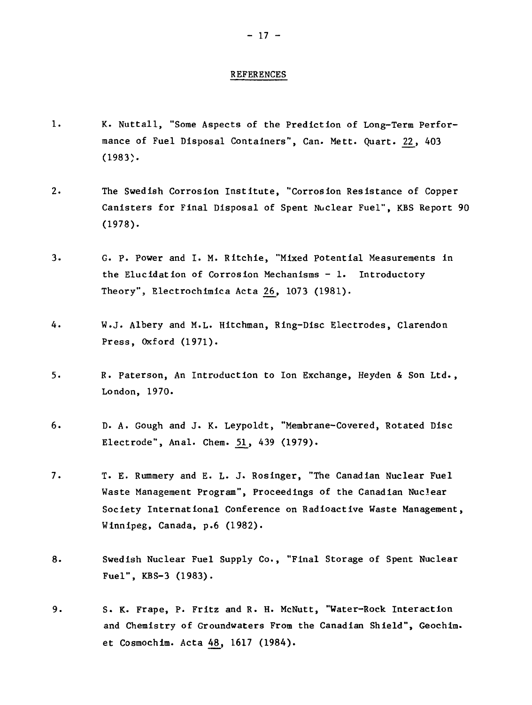#### REFERENCES

- 1. K. Nuttall, "Some Aspects of the Prediction of Long-Term Performance of Fuel Disposal Containers", Can. Mett. Quart. 22, 403 (1983).
- 2. The Swedish Corrosion Institute, "Corrosion Resistance of Copper Canisters for Final Disposal of Spent Nuclear Fuel", KBS Report 90 (1978).
- 3. G. P. Power and I. M. Ritchie, "Mixed Potential Measurements in the Elucidation of Corrosion Mechanisms  $-1$ . Introductory Theory", Electrochimica Acta 26, 1073 (1981).
- 4. W.J. Albery and M.L. Hitchman, Ring-Disc Electrodes, Clarendon Press, Oxford (1971).
- 5. R. Paterson, An Introduction to Ion Exchange, Heyden & Son Ltd., London, 1970.
- 6. D. A. Gough and J. K. Leypoldt, "Membrane-Covered, Rotated Disc Electrode", Anal. Chem. 51, 439 (1979).
- 7. T. E. Rummery and E. L. J. Rosinger, "The Canadian Nuclear Fuel Waste Management Program", Proceedings of the Canadian Nuclear Society International Conference on Radioactive Waste Management, Winnipeg, Canada, p.6 (1982).
- 8. Swedish Nuclear Fuel Supply Co., "Final Storage of Spent Nuclear Fuel", KBS-3 (1983).
- 9. S. K. Frape, P. Fritz and R. H. McNutt, "Water-Rock Interaction and Chemistry of Groundwaters From the Canadian Shield", Geochim. et Cosmochim. Acta 48, 1617 (1984).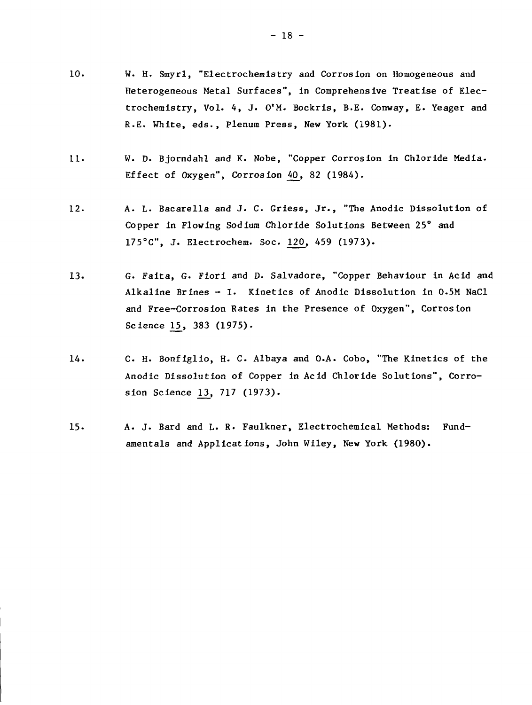- 10. W. H. Smyr1, "Electrochemistry and Corrosion on Homogeneous and Heterogeneous Metal Surfaces", in Comprehensive Treatise of Electrochemistry, Vol. 4, J. O'M. Bockris, B.E. Conway, E. Yeager and R.E. White, eds., Plenum Press, New York (1981).
- 11. W. D. Bjorndahl and K. Nobe, "Copper Corrosion in Chloride Media-Effect of Oxygen", Corrosion 40, 82 (1984).
- 12. A. L. Bacarella and J. C. Griess, Jr., "The Anodic Dissolution of Copper in Flowing Sodium Chloride Solutions Between 25° and 175°C", J. Electrochem. Soc. 120, 459 (1973).
- 13. G. Faita, G. Fiori and D. Salvadore, "Copper Behaviour in Acid and Alkaline Brines - I. Kinetics of Anodic Dissolution in 0-5M NaCl and Free-Corrosion Rates in the Presence of Oxygen", Corrosion Science 15, 383 (1975).
- 14. C. H. Bonfiglio, H. C. Albaya and O.A. Cobo, "The Kinetics of the Anodic Dissolution of Copper in Acid Chloride Solutions", Corrosion Science 13, 717 (1973).
- 15. A. J. Bard and L. R. Faulkner, Electrochemical Methods: Fundamentals and Applications, John Wiley, New York (1980).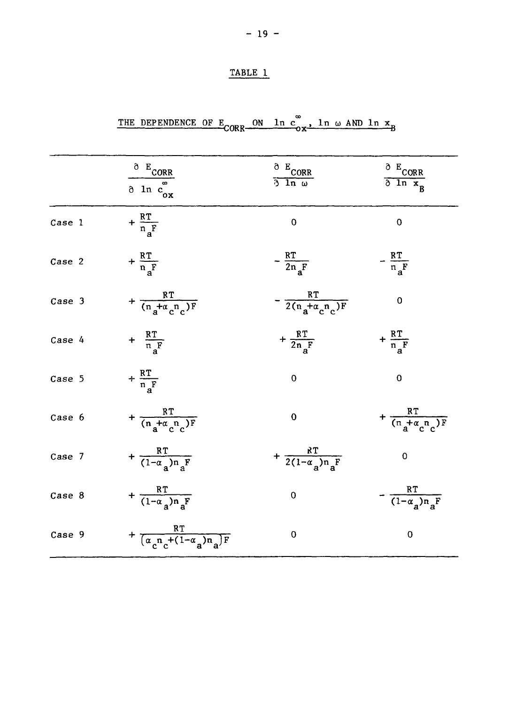### TABLE 1

# THE DEPENDENCE OF  $E_{CORR}$  on  $\ln c_{ox}$ ,  $\ln \omega$  AND  $\ln x$ <sub>B</sub>

|        | $^{\circ}$ $E_{CORR}$<br>$\delta$ ln $c_{ox}^-$    | $\frac{\partial E_{CORR}}{\partial \ln \omega}$ | $rac{\delta E_{CORR}}{\delta \ln x_R}$ |
|--------|----------------------------------------------------|-------------------------------------------------|----------------------------------------|
| Case 1 | $+\frac{RT}{n_{a}F}$                               | $\overline{0}$                                  | 0                                      |
| Case 2 | $+\frac{RT}{n_{\alpha}F}$                          | $-\frac{RT}{2n_{\rm A}F}$                       | $-\frac{RT}{\pi_aF}$                   |
| Case 3 | + $\frac{RT}{(n_A + \alpha_c n_c)F}$               | $-\frac{RT}{2(n_a+\alpha_c n_c)F}$              | 0                                      |
| Case 4 | $+\frac{RT}{n_aF}$                                 | + $\frac{RT}{2n_F}$                             | $+\frac{RT}{n_aF}$                     |
| Case 5 | $+\frac{RT}{n_{\overline{A}}F}$                    | $\mathbf 0$                                     | $\mathbf 0$                            |
| Case 6 | + $\frac{RT}{(n_a + \alpha_c n_c)F}$               | $\overline{0}$                                  | + $\frac{RT}{(n_A + \alpha_c n_c)F}$   |
| Case 7 | + $\frac{RT}{(1-\alpha_a)n_aF}$                    | + $\frac{RT}{2(1-\alpha_a)n_aF}$                | $\bf{0}$                               |
| Case 8 | + $\frac{RT}{(1-\alpha_a)n_aF}$                    | $\mathbf 0$                                     | $-\frac{RT}{(1-\alpha_a)n_aF}$         |
| Case 9 | + $\frac{RT}{(\alpha_n n_{c}+(1-\alpha_n)n_{a})F}$ | $\mathbf 0$                                     | $\pmb{0}$                              |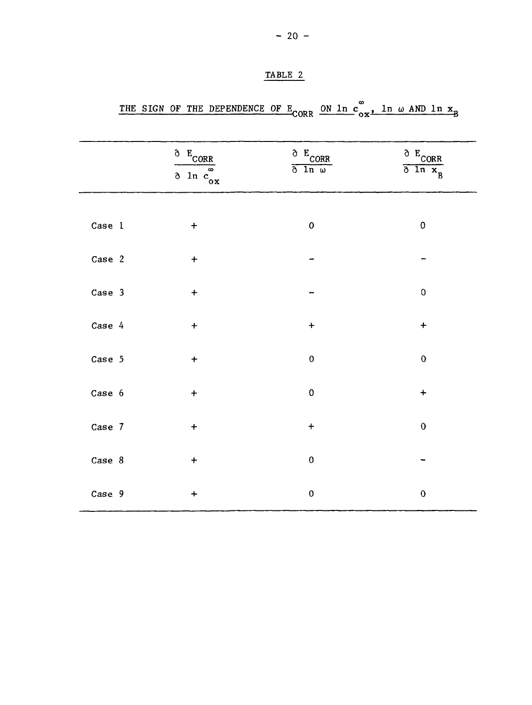|        | $\delta$ E <sub>CORR</sub><br>$\overline{\delta \ln c}$ | $\delta$ E <sub>CORR</sub><br>$\delta$ ln $\omega$ | $C$ <sub>CORR</sub><br>$\overline{\delta \ln x_B}$ |
|--------|---------------------------------------------------------|----------------------------------------------------|----------------------------------------------------|
| Case 1 | $\ddot{}$                                               | $\mathbf{o}$                                       | $\pmb{0}$                                          |
| Case 2 | $\ddot{}$                                               |                                                    |                                                    |
| Case 3 | $\ddot{}$                                               |                                                    | $\mathsf 0$                                        |
| Case 4 | $\ddot{}$                                               | $\pmb{+}$                                          | $\ddagger$                                         |
| Case 5 | $\ddag$                                                 | $\boldsymbol{0}$                                   | $\mathbf 0$                                        |
| Case 6 | $\ddot{}$                                               | $\pmb{0}$                                          | $\ddot{}$                                          |
| Case 7 | $\ddot{}$                                               | $+$                                                | $\mathbf 0$                                        |
| Case 8 | $\ddot{}$                                               | $\pmb{0}$                                          |                                                    |
| Case 9 | $\ddot{}$                                               | $\pmb{0}$                                          | $\mathbf 0$                                        |

### TABLE 2

# THE SIGN OF THE DEPENDENCE OF E<sub>CORR</sub> ON  $\ln c_{ox}$ ,  $\ln \omega$  and  $\ln$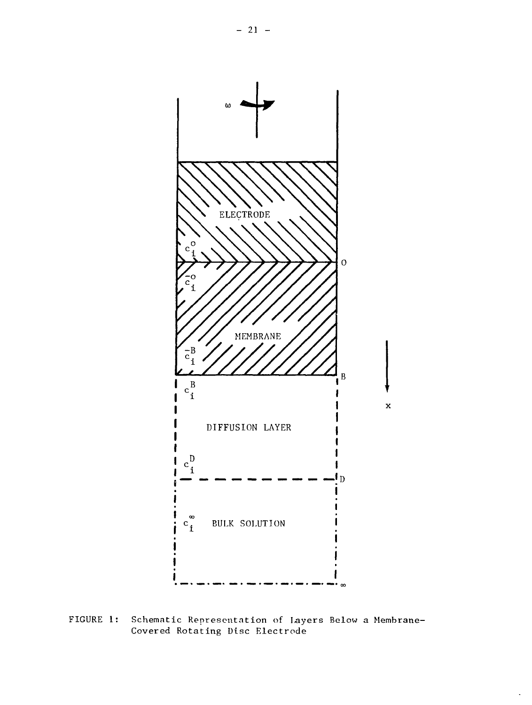

FIGURE 1: Schematic Representation of layers Below a Membrane-Covered Rotating Disc Electrode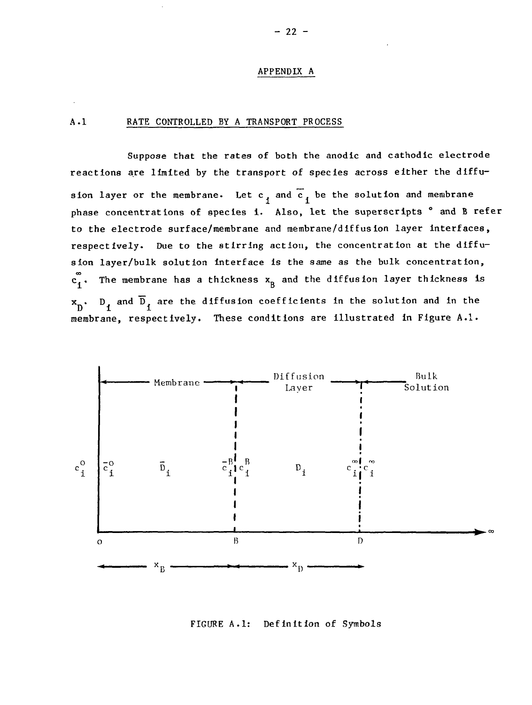#### APPENDIX A

### A.I RATE CONTROLLED BY A TRANSPORT PROCESS

Suppose that the rates of both the anodic and cathodlc electrode reactions are limited by the transport of species across either the diffusion layer or the membrane. Let  $c_1$  and  $\overline{c}_1$  be the solution and membrane phase concentrations of species i. Also, let the superscripts ° and B refer to the electrode surface/membrane and membrane/diffusion layer interfaces, respectively. Due to the stirring action, the concentration at the diffusion layer/bulk solution interface Is the same as the bulk concentration,  $\mathbf{c}_1^\infty$ . The membrane has a thickness  $\mathbf{x}_\mathbf{B}$  and the diffusion layer thickness is  $\mathbf{x}_\text{D}$ .  $\text{D}_\text{1}$  and  $\overline{\text{D}}_\text{1}$  are the diffusion coefficients in the solution and in the membrane, respectively. These conditions are illustrated in Figure A.I.



### FIGURE A.I: Definition of Symbols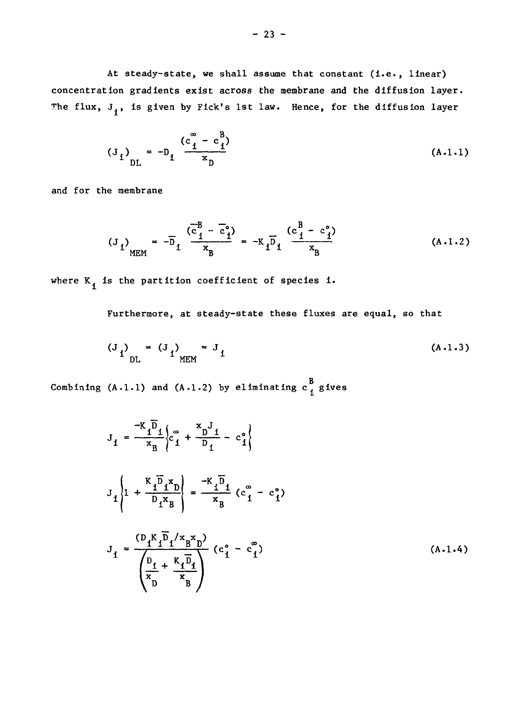At steady-state, we shall assume that constant (i.e., linear) concentration gradients exist across the membrane and the diffusion layer. The flux,  $J_i$ , is given by Fick's 1st law. Hence, for the diffusion layer

$$
(J_{1})_{DL} = -D_{1} \frac{(c_{1}^{2} - c_{1}^{2})}{x_{D}}
$$
 (A.1.1)

and for the membrane

$$
(J_{1})_{\text{MEM}} = -\overline{D}_{1} \frac{(\overline{c}_{1}^{B} - \overline{c}_{1}^{o})}{x_{B}} = -K_{1} \overline{D}_{1} \frac{(c_{1}^{B} - c_{1}^{o})}{x_{B}}
$$
(A.1.2)

where  $K_i$  is the partition coefficient of species i.

Furthermore, at steady-state these fluxes are equal, so that

$$
(J_{1})_{\text{DL}} = (J_{1})_{\text{MEM}} = J_{1}
$$
 (A.1.3)

Combining  $(A - 1 - 1)$  and  $(A - 1 - 2)$  by eliminating  $c \frac{B}{I}$  gives

$$
J_{1} = \frac{-K_{1} \bar{D}_{1}}{x_{B}} \left\{ c_{1}^{a} + \frac{x_{D}^{f}}{D_{1}} - c_{1}^{o} \right\}
$$
  

$$
J_{1} \left\{ 1 + \frac{K_{1} \bar{D}_{1} x_{D}}{D_{1} x_{B}} \right\} = \frac{-K_{1} \bar{D}_{1}}{x_{B}} \left( c_{1}^{a} - c_{1}^{o} \right)
$$
  

$$
J_{1} = \frac{\left( D_{1} K_{1} \bar{D}_{1} / x_{B} x_{D} \right)}{\left( \frac{D_{1}}{x_{B}} + \frac{K_{1} \bar{D}_{1}}{x_{B}} \right)} \left( c_{1}^{o} - c_{1}^{a} \right)
$$
(A.1.4)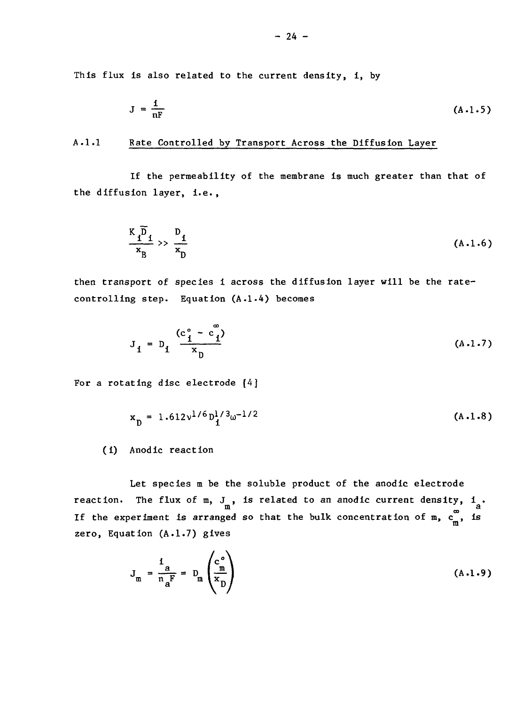This flux is also related to the current density, i, by

$$
J = \frac{1}{nF}
$$
 (A.1.5)

### A.1.1 Rate Controlled by Transport Across the Diffusion Layer

If the permeability of the membrane is much greater than that of the diffusion layer, i.e.,

$$
\frac{\kappa \overline{p}}{\kappa_{\rm B}} \gg \frac{p_{\rm i}}{\kappa_{\rm D}} \tag{A.1.6}
$$

then transport of species i across the diffusion layer will be the ratecontrolling step. Equation (A.1.4) becomes

$$
J_{i} = D_{i} \frac{(c_{i}^{\circ} - c_{i}^{\circ})}{x_{D}}
$$
 (A.1.7)

For a rotating disc electrode [4]

$$
x_{D} = 1.612v^{1/6}D_1^{1/3}\omega^{-1/2}
$$
 (A.1.8)

(i) Anodic reaction

Let species m be the soluble product of the anodic electrode reaction. The flux of  $m$ ,  $J_m$ , is related to an anodic current density,  $i_a$ . ed so that the bulk concentration of m,  $c_m^{\infty}$ , is zero, Equation  $(A.1.7)$  gives

$$
J_{m} = \frac{1}{n_{a}F} = D_{m} \left( \frac{c_{m}^{\circ}}{n_{D}} \right)
$$
 (A.1.9)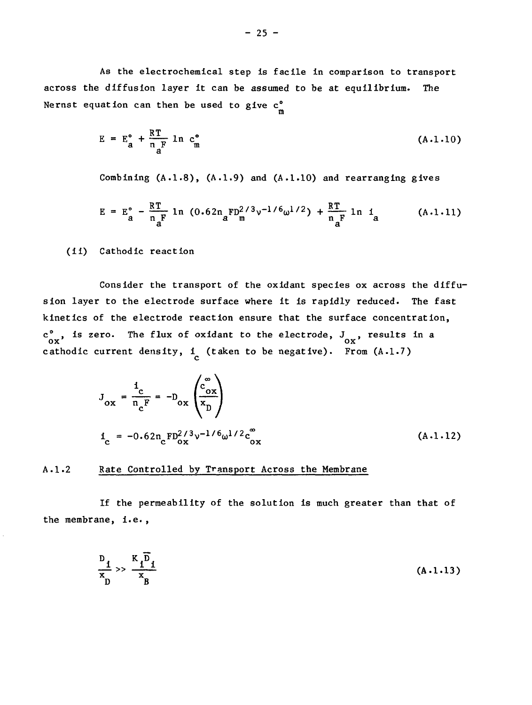As the electrochemical step is facile in comparison to transport across the diffusion layer it can be assumed to be at equilibrium. The Nernst equation can then be used to give  $c_m^{\circ}$ 

$$
E = Eao + \frac{RT}{n_F} \ln cmo
$$
 (A.1.10)

m

Combining  $(A.1.8)$ ,  $(A.1.9)$  and  $(A.1.10)$  and rearranging gives

$$
E = E_{a}^{\circ} - \frac{RT}{n_{a}F} \ln (0.62n_{a}FD_{m}^{2/3}v^{-1/6}\omega^{1/2}) + \frac{RT}{n_{a}F} \ln i_{a}
$$
 (A.1.11)

(ii) Cathodic reaction

Consider the transport of the oxidant species ox across the diffusion layer to the electrode surface where it is rapidly reduced. The fast kinetics of the electrode reaction ensure that the surface concentration,  $\int_{0}^{\infty}$ , is zero. The flux of oxidant to the electrode,  $J_{0x}^{\prime}$ , results in a

$$
J_{ox} = \frac{i_c}{n_c F} = -D_{ox} \left( \frac{c_{ox}^{\infty}}{x_D} \right)
$$
  

$$
i_c = -0.62 n_c F D_{ox}^{2/3} v^{-1/6} \omega^{1/2} c_{ox}^{\infty}
$$
 (A.1.12)

### A.I.2 Rate Controlled by Transport Across the Membrane

If the permeability of the solution is much greater than that of the membrane, i.e. ,

$$
\frac{D_1}{x} \gg \frac{K_1 D_1}{x_B} \tag{A-1-13}
$$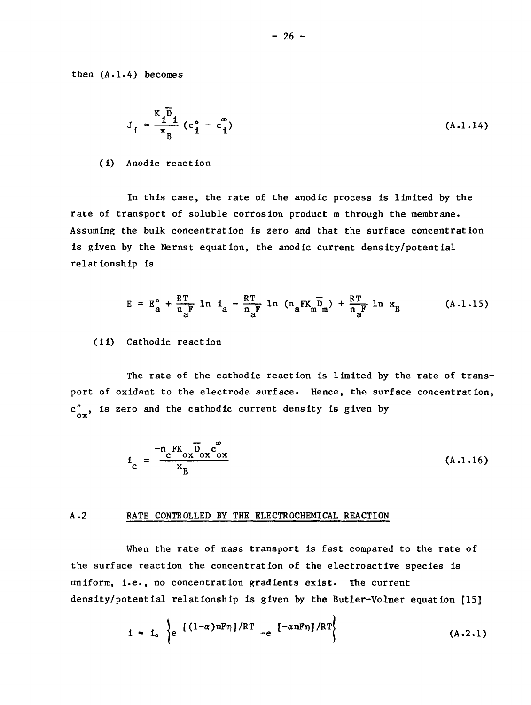then (A.1.4) becomes

$$
J_1 = \frac{K_1 \overline{D}_1}{X_B} (c_1^{\circ} - c_1^{\circ})
$$
 (A.1.14)

#### (i) Anodic reaction

In this case, the rate of the anodic process is limited by the race of transport of soluble corrosion product m through the membrane. Assuming the bulk concentration is zero and that the surface concentration is given by the Nernst equation, the anodic current density/potential relationship is

$$
E = E_a^{\circ} + \frac{RT}{n_aF} \ln i_a - \frac{RT}{n_aF} \ln (n_aFK_m\overline{D}_m) + \frac{RT}{n_aF} \ln x_B \qquad (A.1.15)
$$

### (ii) Cathodic reaction

The rate of the cathodic reaction is limited by the rate of transport of oxidant to the electrode surface. Hence, the surface concentration,  $c_{ox}^{\circ}$ , is zero and the cathodic current density is given by

$$
i_{\rm c} = \frac{-n_{\rm c} \bar{F} K_{\rm ox} \bar{D}_{\rm ox} \bar{C}_{\rm ox}^{\rm F}}{x_{\rm B}}
$$
 (A.1.16)

#### A.2 RATE CONTROLLED BY THE ELECTROCHEMICAL REACTION

When the rate of mass transport is fast compared to the rate of the surface reaction the concentration of the electroactive species is uniform, i.e., no concentration gradients exist. The current density/potential relationship is given by the Butler-Volmer equation [15]

$$
i = i_{o} \left\{ e^{-\left[ (1-\alpha) nF\eta \right] / RT} - e^{-\alpha nF\eta} \right\} / RT \qquad (A.2.1)
$$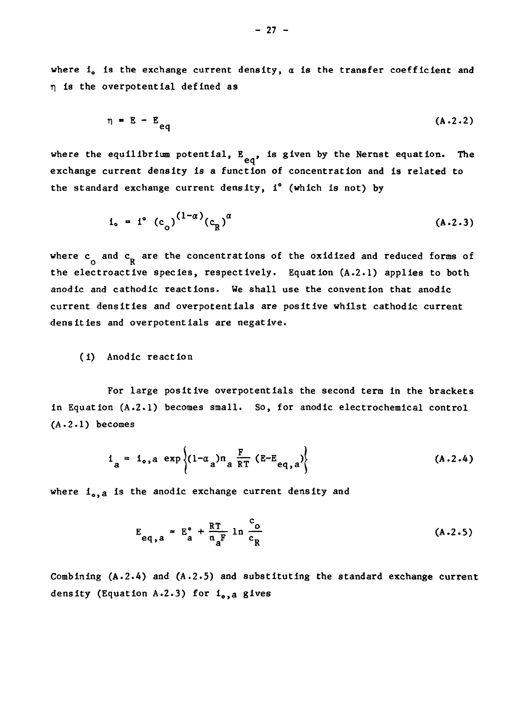where  $i_{0}$  is the exchange current density,  $\alpha$  is the transfer coefficient and *r\* is the overpotential defined as

$$
\eta = E - E_{eq} \tag{A-2-2}
$$

where the equilibrium potential, E<sub>ed</sub>, is given by the Nernst equation. The **exchange current density is a function of concentration and is related to the standard exchange current density, i° (which is not) by**

$$
i_{o} = i^{o} (c_{o})^{(1-a)} (c_{R})^{a}
$$
 (A.2.3)

where  $\mathbf{c}_{\mathbf{g}}$  and  $\mathbf{c}_{\mathbf{R}}$  are the concentrations of the oxidized and reduced forms of **the electroactive species, respectively. Equation (A.2.1) applies to both anodic and cathodic reactions. We shall use the convention that anodic current densities and overpotentials are positive whilst cathodic current densities and overpotentials are negative.**

### **(i) Anodic reaction**

**For large positive overpotentials the second term in the brackets in Equation (A.2.1) becomes small. So, for anodic electrochemical control (A.2.1) becomes**

$$
i_{a} = i_{o,a} \exp \left\{ (1 - \alpha_{a}) n_{a} \frac{F}{RT} (E - E_{eq,a}) \right\}
$$
 (A.2.4)

where i<sub>o, a</sub> is the anodic exchange current density and

$$
E_{eq,a} = E_a^{\circ} + \frac{RT}{n_a^F} \ln \frac{c_o}{c_R}
$$
 (A.2.5)

**Combining (A.2.4) and (A.2.5) and substituting the standard exchange current density (Equation A.2.3) for io,a gives**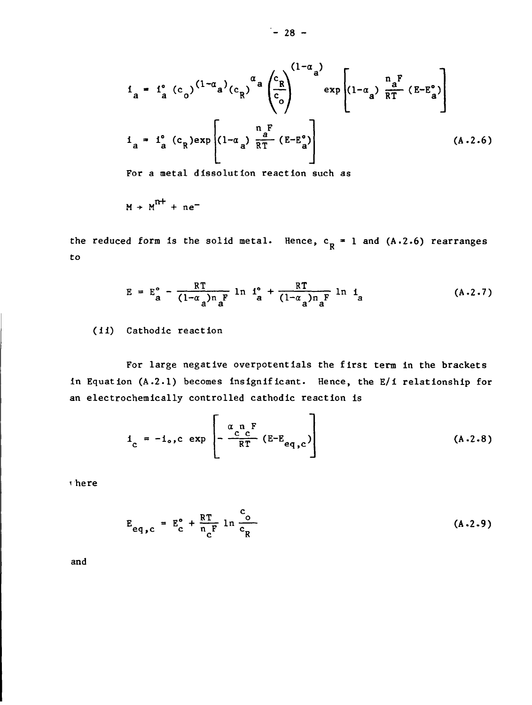$$
i_{a} = i_{a}^{o} (c_{o})^{(1-\alpha_{a})} (c_{R})^{\alpha_{a}} \left(\frac{c_{R}}{c_{o}}\right)^{(1-\alpha_{a})} \exp \left[ (1-\alpha_{a}) \frac{n_{a}^{F}}{RT} (E-E_{a}^{o}) \right]
$$
  

$$
i_{a} = i_{a}^{o} (c_{R}) \exp \left[ (1-\alpha_{a}) \frac{n_{a}^{F}}{RT} (E-E_{a}^{o}) \right]
$$
(A.2.6)

**For a metal dissolution reaction such as**

$$
M + M^{n+} + ne^-
$$

the reduced form is the solid metal. Hence, c<sub>p</sub> = 1 and (A.2.6) rearranges K to

$$
E = E_{a}^{o} - \frac{RT}{(1-\alpha_{a})n_{a}F} \ln i_{a}^{o} + \frac{RT}{(1-\alpha_{a})n_{a}F} \ln i_{a}
$$
 (A.2.7)

(ii) Cathodic reaction

For large negative overpotentials the first term in the brackets in Equation (A.2.1) becomes insignificant. Hence, the E/i relationship for an electrochemically controlled cathodic reaction is

$$
i_{c} = -i_{o}, c \exp\left[-\frac{\alpha_{c} n_{c} F}{RT} (E-E_{eq,c})\right]
$$
 (A-2.8)

here

$$
E_{eq,c} = E_c^{\circ} + \frac{RT}{n_c^F} \ln \frac{c_o}{c_R}
$$
 (A.2.9)

and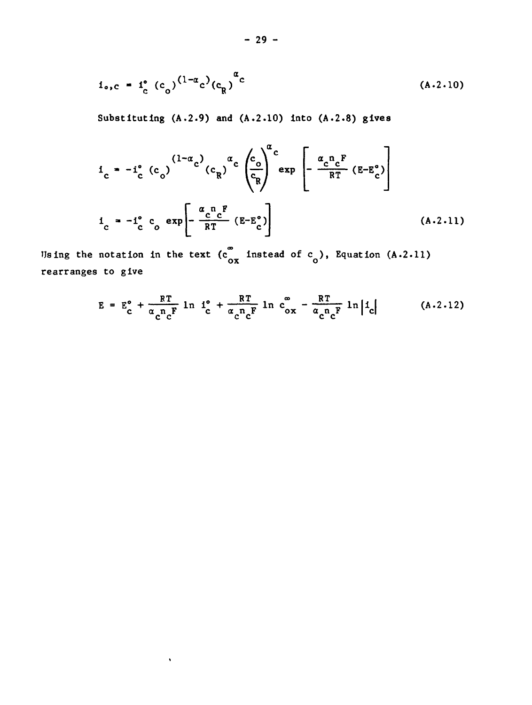$$
i_{\sigma, c} = i_c^{\circ} (c_o)^{(1-\alpha_c)} (c_R)^{\alpha_c}
$$
 (A.2.10)

**Substituting (A.2.9) and (A.2.10) into (A.2.8) gives**

$$
i_{c} = -i_{c}^{o} (c_{o})^{(1-\alpha_{c})} (c_{R})^{\alpha_{c}} \left(\frac{c_{o}}{c_{R}}\right)^{\alpha_{c}} \exp\left[-\frac{\alpha_{c}n_{c}F}{RT} (E-E_{c}^{o})\right]
$$
  

$$
i_{c} = -i_{c}^{o} c_{o} \exp\left[-\frac{\alpha_{c}n_{c}F}{RT} (E-E_{c}^{o})\right]
$$
 (A.2.11)

Using the notation in the text  $(c_{ox}^{\infty}$  instead of  $c_{o}$ ), Equation (A.2.11) rearranges to give

 $\hat{\mathbf{v}}$ 

$$
E = E_c^{\circ} + \frac{RT}{\alpha_c n_c^F} \ln I_c^{\circ} + \frac{RT}{\alpha_c n_c^F} \ln c_{ox}^{\circ} - \frac{RT}{\alpha_c n_c^F} \ln |I_c| \qquad (A.2.12)
$$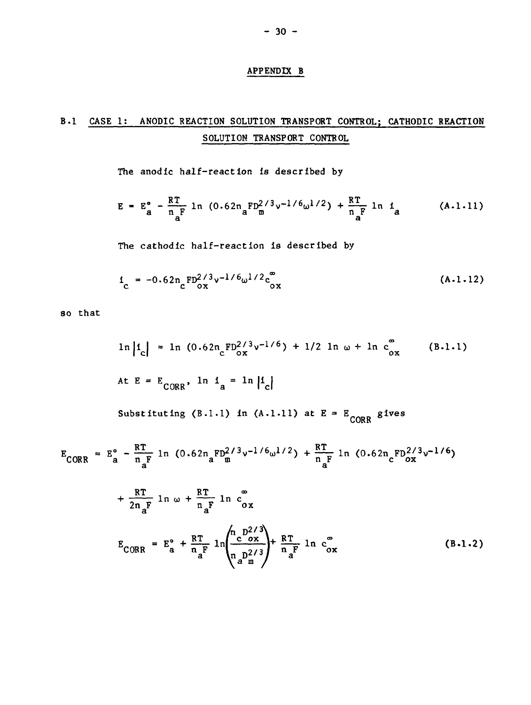### APPENDIX B

# B.I CASE 1: ANODIC REACTION SOLUTION TRANSPORT CONTROL; CATHODIC REACTION SOLUTION TRANSPORT CONTROL

The anodic half-reaction is described by

$$
E = E_a^o - \frac{RT}{n_a^F} \ln (0.62n_a^F D_m^{2/3} v^{-1/6} \omega^{1/2}) + \frac{RT}{n_a^F} \ln i_a
$$
 (A.1.11)

The cathodic half-reaction is described by

$$
i_{\rm c} = -0.62 n_{\rm c} \, \text{FD}_{\rm ox}^{2/3} v^{-1/6} \omega^{1/2} c_{\rm ox}^{\infty} \tag{A.1.12}
$$

so that

$$
\ln |i_c| = \ln (0.62 n_c F_{ox}^{2/3} v^{-1/6}) + 1/2 \ln \omega + \ln c_{ox}^2
$$
 (B.1.1)

At E = E<sub>CORR</sub>, 
$$
\ln i_a = \ln |i_c|
$$
  
Substituting (B.1.1) in (A.1.11) at E = E<sub>conp</sub> gives

$$
E_{CORR} = E_a^{\circ} - \frac{RT}{n_aF} \ln (0.62n_aF_{m}^{2/3}v^{-1/6}\omega^{1/2}) + \frac{RT}{n_aF} \ln (0.62n_cF_{ox}^{2/3}v^{-1/6})
$$

$$
+\frac{RT}{2n_{a}F} \ln \omega + \frac{RT}{n_{a}F} \ln c_{ox}^{\infty}
$$
  

$$
E_{CORR} = E_{a}^{\circ} + \frac{RT}{n_{a}F} \ln \left( \frac{n_{c}D_{ox}^{2/3}}{n_{a}D_{m}^{2/3}} \right) + \frac{RT}{n_{a}F} \ln c_{ox}^{\infty}
$$
 (B-1.2)

**CORP.**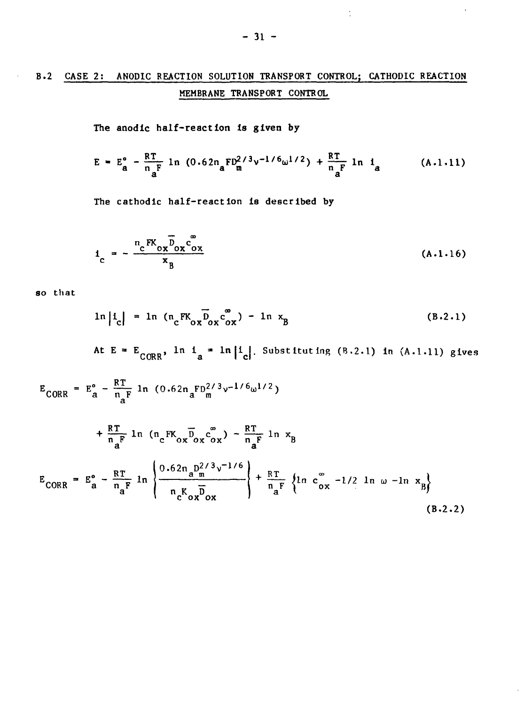# B.2 CASE 2: ANODIC REACTION SOLUTION TRANSPORT CONTROL; CATHODIC REACTION MEMBRANE TRANSPORT CONTROL

**The anodic half-reaction Is given by**

$$
E = E_a^o - \frac{RT}{n_a^F} \ln (0.62n_a F_m^{2/3}v^{-1/6}\omega^{1/2}) + \frac{RT}{n_a^F} \ln i_a
$$
 (A.1.11)

The cathodic half-reaction is described by

$$
1_c = -\frac{n_c F K_{ox} D_{ox} c_{ox}^{\circ}}{x_B} \tag{A.1.16}
$$

so that

 $\alpha$ 

$$
\ln |i_{\rm c}| = \ln (\mathfrak{n}_{\rm c} F K_{\rm ox} \overline{D}_{\rm ox} \overline{C}_{\rm ox}^{\rm w}) - \ln x_{\rm B}
$$
 (B.2.1)

At E =  $E_{CORR}$ , ln i = ln |i | Substituting (B.2.1) in (A.1.11) give

$$
E_{CORR} = E_{a}^{o} - \frac{RT}{n_{a}F} \ln (0.62n_{a}FD_{a}^{2/3}v^{-1/6}\omega^{1/2})
$$
  
+  $\frac{RT}{n_{a}F} \ln (n_{c}FK_{ox}D_{ox}c_{ox}^{o}) - \frac{RT}{n_{a}F} \ln x_{B}$   

$$
E_{CORR} = E_{a}^{o} - \frac{RT}{n_{a}F} \ln \left\{ \frac{0.62n_{a}D_{a}^{2/3}v^{-1/6}}{n_{c}K_{ox}D_{ox}} \right\} + \frac{RT}{n_{a}F} \left\{ \ln c_{ox}^{o} - \frac{1}{2} \ln \omega - \ln x_{B} \right\}
$$
  
(B.2.2)

 $\ddot{\cdot}$ 

 $\ddot{\phantom{1}}$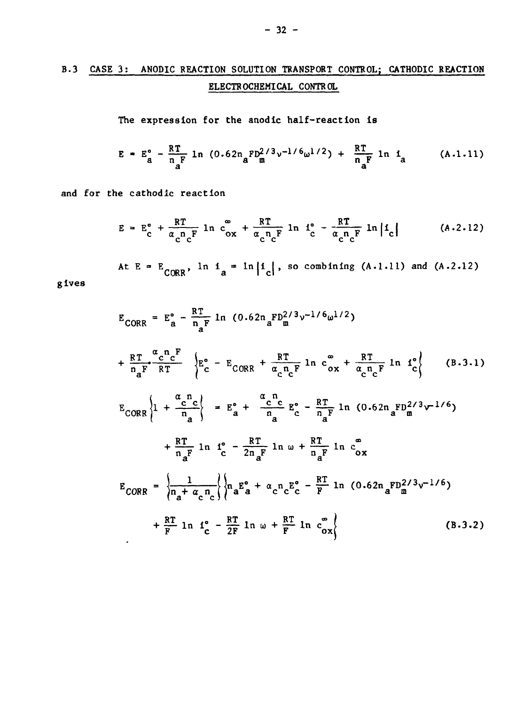# **B . 3 CASE 3 ; ANODIC REACTION SOLUTION TRANSPORT CONTROL; CATHOD1C REACTION ELECTROCHEMICAL CONTROL**

**The expression for the anodic half-reaction is**

$$
E = E_a^o - \frac{RT}{n_a^F} \ln (0.62n_a^F D_a^{2/3} v^{-1/6} \omega^{1/2}) + \frac{RT}{n_a^F} \ln i_a \qquad (A.1.11)
$$

**and for the cathodlc reaction**

 $\mathcal{L}_{\mathcal{A}}$ 

**give s**

$$
E = E_c^{\circ} + \frac{RT}{\alpha_c n_c F} \ln c_{ox}^{\circ} + \frac{RT}{\alpha_c n_c F} \ln i_c^{\circ} - \frac{RT}{\alpha_c n_c F} \ln |i_c| \qquad (A.2.12)
$$

At  $E = E_{CORR}$ ,  $\ln i_a = \ln |i_c|$ , so combining (A.1.11) and (A.2.12)

$$
E_{CORR} = E_{a}^{o} - \frac{RT}{n_{a}F} \ln (0.62n_{a}FD_{m}^{2/3}v^{-1/6}\omega^{1/2})
$$
  
+  $\frac{RT}{n_{a}F} \frac{\alpha_{c}n_{c}F}{RT} \left\{ E_{c}^{o} - E_{CORR} + \frac{RT}{\alpha_{c}n_{c}F} \ln c_{ox}^{\infty} + \frac{RT}{\alpha_{c}n_{c}F} \ln 10 \right\}$  (B.3.1)  

$$
E_{CORR} \left\{ 1 + \frac{\alpha_{c}n_{c}}{n_{a}} \right\} = E_{a}^{o} + \frac{\alpha_{c}n_{c}}{n_{a}F} E_{c}^{o} - \frac{RT}{n_{a}F} \ln (0.62n_{a}FD_{m}^{2/3}v^{-1/6})
$$
  
+  $\frac{RT}{n_{a}F} \ln 10 \Bigg|_{c}^{o} - \frac{RT}{2n_{a}F} \ln \omega + \frac{RT}{n_{a}F} \ln c_{ox}^{\infty}$   

$$
E_{CORR} = \left\{ \frac{1}{n_{a} + \alpha_{c}n_{c}} \right\} \left\{ n_{a}E_{a}^{o} + \alpha_{c}n_{c}E_{c}^{o} - \frac{RT}{F} \ln (0.62n_{a}FD_{m}^{2/3}v^{-1/6}) + \frac{RT}{F} \ln 10 \Bigg|_{c}^{o} - \frac{RT}{2F} \ln \omega + \frac{RT}{F} \ln c_{ox}^{\infty} \right\}
$$
(B.3.2)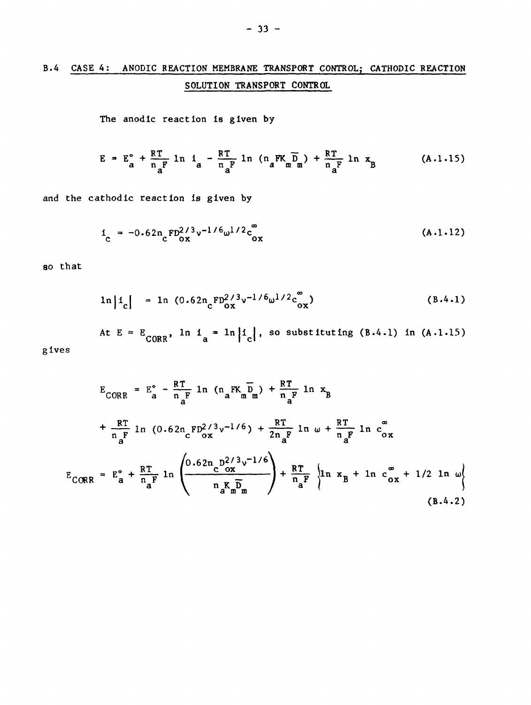# B.4 CASE 4: ANODIC REACTION MEMBRANE TRANSPORT CONTROL; CATHODIC REACTION SOLUTION TRANSPORT CONTROL

The anodic reaction is given by

$$
E = E_a^{\circ} + \frac{RT}{n_a^F} \ln 1_a - \frac{RT}{n_a^F} \ln (n_a^F K_a \overline{D}_a) + \frac{RT}{n_a^F} \ln x_B
$$
 (A.1.15)

and the cathodic reaction is given by

$$
i_{\rm c} = -0.62 n_{\rm c} \frac{\rm FD^2/3}{\rm oz} v^{-1/6} \omega^{1/2} c_{\rm ox}^{\rm c}
$$
 (A.1.12)

so that

$$
\ln |i_c| = \ln (0.62 n_c F_{ox}^{2/3} v^{-1/6} \omega^{1/2} c_{ox}^{\circ})
$$
 (B.4.1)

At  $E = E_{CORR}$ ,  $\ln 1_a = \ln |1_c|$ , so substituting (B.4.1) in (A.1.15)

gives

$$
E_{CORR} = E_a^{\circ} - \frac{RT}{n_a^F} \ln (n_a^F K_m \overline{D}_m) + \frac{RT}{n_a^F} \ln x_B
$$
  
+  $\frac{RT}{n_a^F} \ln (0.62 n_c^F D_{ox}^{2/3} v^{-1/6}) + \frac{RT}{2n_a^F} \ln \omega + \frac{RT}{n_a^F} \ln c_{ox}^{\circ}$   

$$
E_{CORR} = E_a^{\circ} + \frac{RT}{n_a^F} \ln \left( \frac{0.62 n_c^F D_{ox}^{2/3} v^{-1/6}}{n_a^F K_m \overline{D}_m} \right) + \frac{RT}{n_a^F} \left\{ \ln x_B + \ln c_{ox}^{\circ} + \frac{1}{2} \ln \omega \right\}
$$
  
(B.4.2)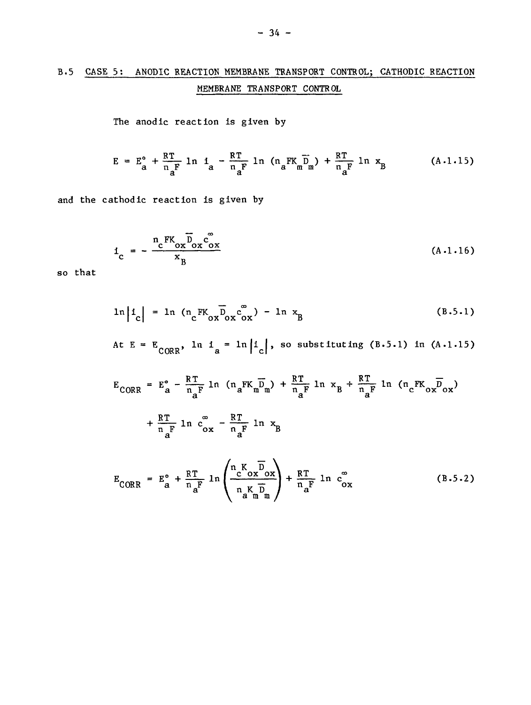### B.5 CASE 5: ANODIC REACTION MEMBRANE TRANSPORT CONTROL; CATHODIC REACTION MEMBRANE TRANSPORT CONTROL

The anodic reaction is given by

$$
E = E_a^o + \frac{RT}{n_aF} \ln i_a - \frac{RT}{n_aF} \ln (n_aFK_m \overline{D}_m) + \frac{RT}{n_aF} \ln x_B
$$
 (A.1.15)

and the cathodic reaction is given by

$$
i_{\rm c} = -\frac{n_{\rm c} F K_{\rm ox} D_{\rm ox} c_{\rm ox}^{\rm g}}{x_{\rm B}}
$$
 (A.1.16)

so that

$$
\ln |i_c| = \ln (\ln_c \text{FK}_{ox} \overline{D}_{ox} c_{ox}^{\circ}) - \ln x_B
$$
 (B.5.1)

At  $E = E_{CORR}$ ,  $\ln 1_a = \ln |1_c|$ , so substituting (B.5.1) in (A.1.15)

$$
E_{CORR} = E_a^{\circ} - \frac{RT}{n_aF} \ln (n_aFK_mD_m) + \frac{RT}{n_aF} \ln x_B + \frac{RT}{n_aF} \ln (n_cFK_{ox}D_{ox})
$$
  
+ 
$$
\frac{RT}{n_aF} \ln c_{ox}^{\circ} - \frac{RT}{n_aF} \ln x_B
$$
  

$$
E_{CORR} = E_a^{\circ} + \frac{RT}{n_aF} \ln \left( \frac{n_cK_{ox}D_m}{n_aK_{m}D} \right) + \frac{RT}{n_aF} \ln c_{ox}^{\circ}
$$
 (B.5.2)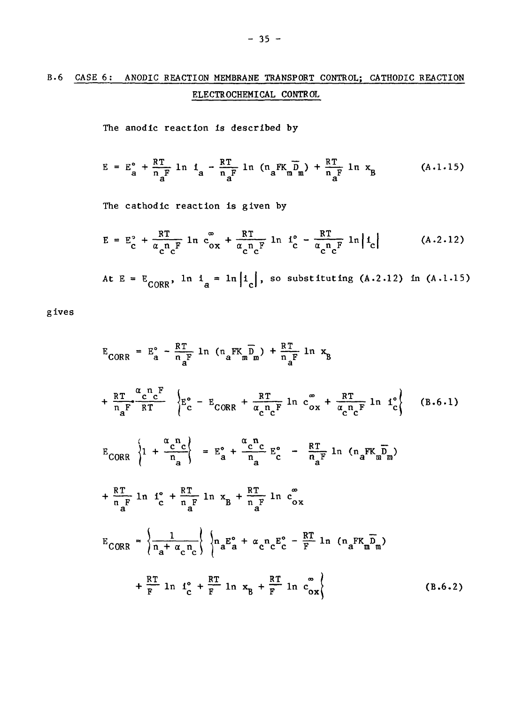# B.6 CASE 6: ANODIC REACTION MEMBRANE TRANSPORT CONTROL; CATHODIC REACTION ELECTROCHEMICAL CONTROL

The anodic reaction is described by

$$
E = E_a^{\circ} + \frac{RT}{n_a^F} \ln t_a - \frac{RT}{n_a^F} \ln (n_a^{\text{FK}} \overline{n}_m^{\text{D}}) + \frac{RT}{n_a^F} \ln x_B \qquad (A.1.15)
$$

The cathodic reaction is given by

$$
E = E_c^{\circ} + \frac{RT}{\alpha_c^n c^F} \ln c_{ox}^{\circ} + \frac{RT}{\alpha_c^n c^F} \ln f_c^{\circ} - \frac{RT}{\alpha_c^n c^F} \ln |f_c| \qquad (A.2.12)
$$

At  $E = E_{CORR}$ , ln  $i_a = \ln |i_c|$ , so substituting (A.2.12) in (A.1.15)

give s

$$
E_{CORR} = E_a^{\circ} - \frac{RT}{n_aF} \ln (n_aFK_m\overline{D}_m) + \frac{RT}{n_aF} \ln x_B
$$
  
+ 
$$
\frac{RT}{n_aF} \frac{\alpha_c n_cF}{RT} \left\{ E_c^{\circ} - E_{CORR} + \frac{RT}{\alpha_c n_cF} \ln c_{ox}^{\circ} + \frac{RT}{\alpha_c n_cF} \ln t_c^{\circ} \right\}
$$
 (B.6.1)  

$$
E_{CORR} \left\{ 1 + \frac{\alpha_c n_c}{n_a} \right\} = E_a^{\circ} + \frac{\alpha_c n_c}{n_a} E_c^{\circ} - \frac{RT}{n_aF} \ln (n_aFK_m\overline{D}_m)
$$
  
+ 
$$
\frac{RT}{n_aF} \ln i_c^{\circ} + \frac{RT}{n_aF} \ln x_B + \frac{RT}{n_aF} \ln c_{ox}^{\circ}
$$
  

$$
E_{CORR} = \left\{ \frac{1}{n_a + \alpha_c n_c} \right\} \left\{ n_aE_a^{\circ} + \alpha_c n_cE_c^{\circ} - \frac{RT}{F} \ln (n_aFK_m\overline{D}_m) + \frac{RT}{F} \ln i_c^{\circ} + \frac{RT}{F} \ln x_B + \frac{RT}{F} \ln c_{ox}^{\circ} \right\}
$$
 (B.6.2)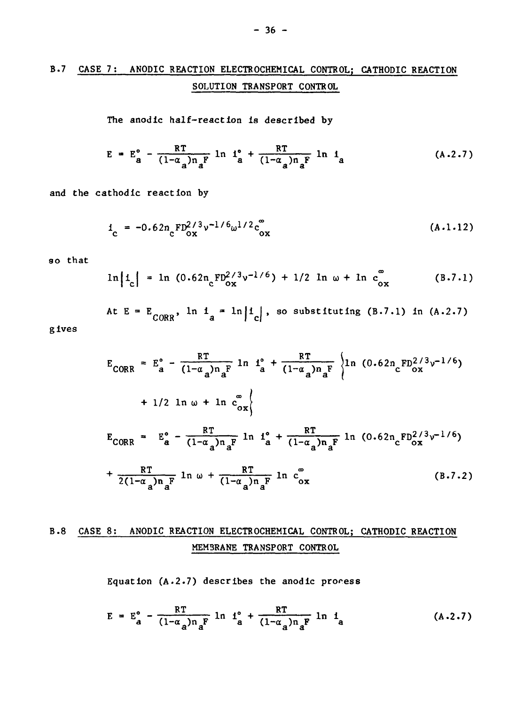# **B.7 CASE 7; ANODIC REACTION ELECTROCHEMICAL CONTROL; CATHODIC REACTION SOLUTION TRANSPORT CONTROL**

**The anodic half-reaction is described by**

$$
E = E_a^o - \frac{RT}{(1-\alpha_a)n_a^P} \ln I_a^o + \frac{RT}{(1-\alpha_a)n_a^F} \ln I_a
$$
 (A.2.7)

and the cathodic reaction by

$$
i_{\rm c} = -0.62 n_{\rm c} {\rm F} D_{\rm ox}^{2/3} v^{-1/6} \omega^{1/2} c_{\rm ox}^{\infty}
$$
 (A.1.12)

**30 that**

$$
\ln |i_c| = \ln (0.62 n_c F D_{ox}^{2/3} v^{-1/6}) + 1/2 \ln \omega + \ln c_{ox}^{2}
$$
 (B.7.1)

At  $E = E_{conn}$ ,  $\ln 1 = \ln |1|$ , so substituting (B.7.1) in (A.2.7) **CORR a I c |**

**gives**

$$
E_{CORR} = E_a^{\circ} - \frac{RT}{(1-\alpha_a)n_a^F} \ln \frac{1^{\circ}}{a} + \frac{RT}{(1-\alpha_a)n_a^F} \left\{ \ln (0.62n_c F D_c^{2/3} v^{-1/6}) + 1/2 \ln \omega + \ln c_{ox}^{\circ} \right\}
$$
  
\n
$$
= E_a^{\circ} - \frac{RT}{(1-\alpha_a)n_a^F} \ln \frac{1^{\circ}}{a} + \frac{RT}{(1-\alpha_a)n_a^F} \ln (0.62n_c F D_{ox}^{2/3} v^{-1/6}) + \frac{RT}{2(1-\alpha_a)n_a^F} \ln \omega + \frac{RT}{(1-\alpha_a)n_a^F} \ln c_{ox}^{\circ}
$$
 (B.7.2)

## **B.8 CASE 8: ANODIC REACTION ELECTROCHEMICAL CONTROL; CATHODIC REACTION MEMBRANE TRANSPORT CONTROL**

**Equation (A.2.7 ) describe s the anodic process**

$$
E = E_a^{\circ} - \frac{RT}{(1-\alpha_a)n_a^F} \ln i_a^{\circ} + \frac{RT}{(1-\alpha_a)n_a^F} \ln i_a
$$
 (A.2.7)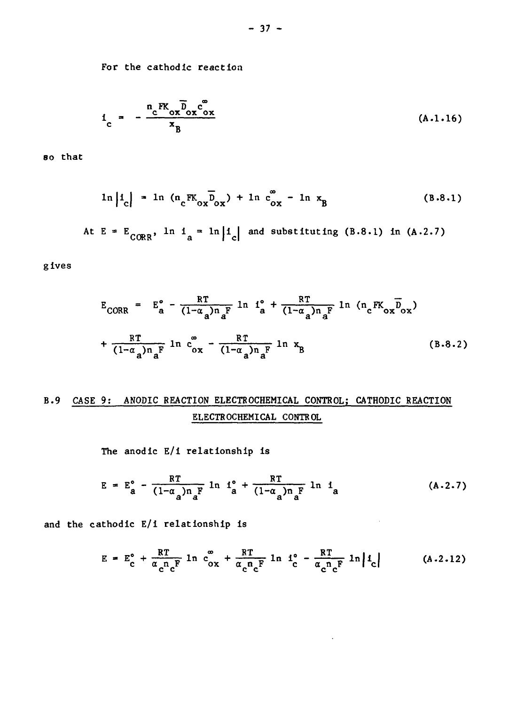For the cathodlc reaction

$$
i_{c} = -\frac{n_{c}FK_{ox} \overline{b}_{ox} c_{ox}^{\circ}}{x_{R}}
$$
 (A.1.16)

 $\frac{1}{2}$ 

so that

$$
\ln |i_c| = \ln (\mathfrak{n}_c F K_{ox} \overline{D}_{ox}) + \ln c_{ox}^{\circ} - \ln x_B
$$
 (B.8.1)

At E =  $E_{comp}$ , ln i = ln|i and substituting (B.8.1) in (A.2.7) **L/OKR 3 | C|**

gives

$$
E_{CORR} = E_{a}^{o} - \frac{RT}{(1-\alpha_{a})n_{a}^{F}} \ln I_{a}^{o} + \frac{RT}{(1-\alpha_{a})n_{a}^{F}} \ln (n_{c}FK_{ox}\overline{D}_{ox}) + \frac{RT}{(1-\alpha_{a})n_{a}^{F}} \ln C_{ox}^{o} - \frac{RT}{(1-\alpha_{a})n_{a}^{F}} \ln x_{B}
$$
 (B.8.2)

# B.9 CASE 9: ANODIC REACTION ELECTROCHEMICAL CONTROL; CATHODIC REACTION ELECTROCHEMICAL CONTROL

The anodic E/i relationship is

$$
E = E_a^{\circ} - \frac{RT}{(1-\alpha_a)n_a^F} \ln i_a^{\circ} + \frac{RT}{(1-\alpha_a)n_a^F} \ln i_a
$$
 (A.2.7)

and the cathodic E/i relationship is

$$
E = E_c^{\circ} + \frac{RT}{\alpha_c^n c^F} \ln c_{ox}^{\circ} + \frac{RT}{\alpha_c^n c^F} \ln i_c^{\circ} - \frac{RT}{\alpha_c^n c^F} \ln |i_c| \qquad (A.2.12)
$$

 $\bar{\star}$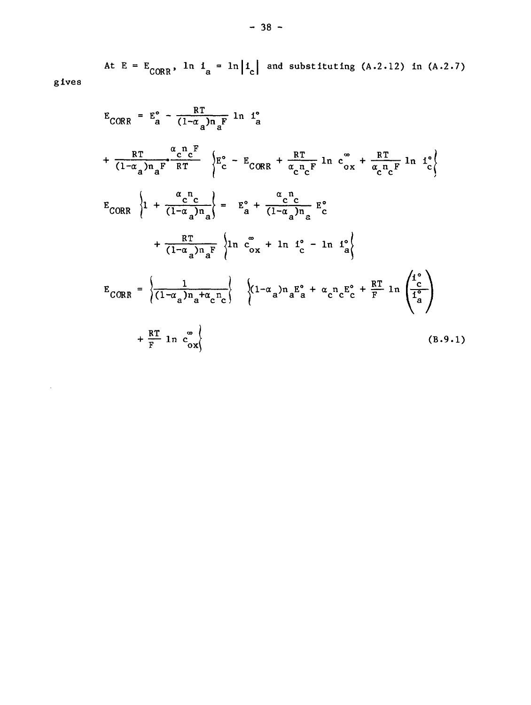At E =  $E_{CORR}$ , ln i = ln i |i | and substituting (A.2.12) in (A.2.7) **v** UK**<sup>2</sup> UK** 

$$
E_{CORR} = E_a^{\circ} - \frac{RT}{(1-\alpha_a)n_aF} \ln i_a^{\circ}
$$
  
+ 
$$
\frac{RT}{(1-\alpha_a)n_aF} \frac{\alpha_c n_c}{RT} \left\{ E_c^{\circ} - E_{CORR} + \frac{RT}{\alpha_c n_cF} \ln c_{ox}^{\circ} + \frac{RT}{\alpha_c n_cF} \ln i_c^{\circ} \right\}
$$
  

$$
E_{CORR} \left\{ 1 + \frac{\alpha_c n_c}{(1-\alpha_a)n_a} \right\} = E_a^{\circ} + \frac{\alpha_c n_c}{(1-\alpha_a)n_a} E_c^{\circ}
$$
  
+ 
$$
\frac{RT}{(1-\alpha_a)n_aF} \left\{ \ln c_{ox}^{\circ} + \ln i_c^{\circ} - \ln i_a^{\circ} \right\}
$$
  

$$
E_{CORR} = \left\{ \frac{1}{(1-\alpha_a)n_a + \alpha_c n_c} \right\} \left\{ (1-\alpha_a)n_a E_a^{\circ} + \alpha_c n_c E_c^{\circ} + \frac{RT}{F} \ln \left( \frac{i_c^{\circ}}{i_a^{\circ}} \right) + \frac{RT}{F} \ln c_{ox}^{\circ} \right\}
$$
  
(B.9.1)

gives

 $\sim 10^{11}$  km s  $^{-1}$